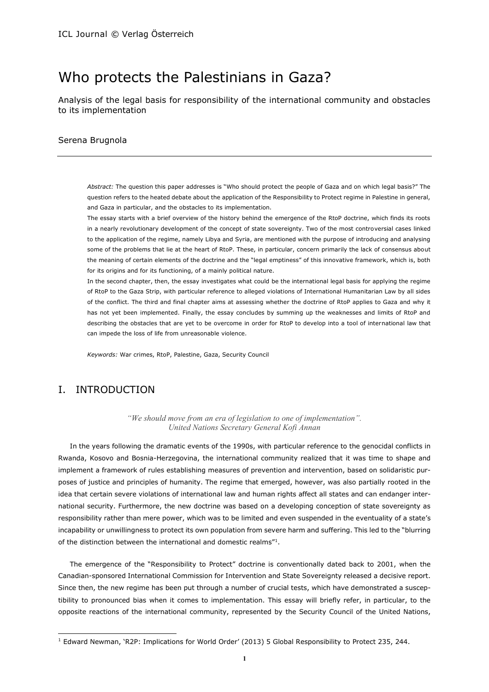# Who protects the Palestinians in Gaza?

Analysis of the legal basis for responsibility of the international community and obstacles to its implementation

#### Serena Brugnola

*Abstract:* The question this paper addresses is "Who should protect the people of Gaza and on which legal basis?" The question refers to the heated debate about the application of the Responsibility to Protect regime in Palestine in general, and Gaza in particular, and the obstacles to its implementation.

The essay starts with a brief overview of the history behind the emergence of the RtoP doctrine, which finds its roots in a nearly revolutionary development of the concept of state sovereignty. Two of the most controversial cases linked to the application of the regime, namely Libya and Syria, are mentioned with the purpose of introducing and analysing some of the problems that lie at the heart of RtoP. These, in particular, concern primarily the lack of consensus about the meaning of certain elements of the doctrine and the "legal emptiness" of this innovative framework, which is, both for its origins and for its functioning, of a mainly political nature.

In the second chapter, then, the essay investigates what could be the international legal basis for applying the regime of RtoP to the Gaza Strip, with particular reference to alleged violations of International Humanitarian Law by all sides of the conflict. The third and final chapter aims at assessing whether the doctrine of RtoP applies to Gaza and why it has not yet been implemented. Finally, the essay concludes by summing up the weaknesses and limits of RtoP and describing the obstacles that are yet to be overcome in order for RtoP to develop into a tool of international law that can impede the loss of life from unreasonable violence.

*Keywords:* War crimes, RtoP, Palestine, Gaza, Security Council

## I. INTRODUCTION

 $\overline{a}$ 

*"We should move from an era of legislation to one of implementation". United Nations Secretary General Kofi Annan*

In the years following the dramatic events of the 1990s, with particular reference to the genocidal conflicts in Rwanda, Kosovo and Bosnia-Herzegovina, the international community realized that it was time to shape and implement a framework of rules establishing measures of prevention and intervention, based on solidaristic purposes of justice and principles of humanity. The regime that emerged, however, was also partially rooted in the idea that certain severe violations of international law and human rights affect all states and can endanger international security. Furthermore, the new doctrine was based on a developing conception of state sovereignty as responsibility rather than mere power, which was to be limited and even suspended in the eventuality of a state's incapability or unwillingness to protect its own population from severe harm and suffering. This led to the "blurring of the distinction between the international and domestic realms"<sup>1</sup>.

The emergence of the "Responsibility to Protect" doctrine is conventionally dated back to 2001, when the Canadian-sponsored International Commission for Intervention and State Sovereignty released a decisive report. Since then, the new regime has been put through a number of crucial tests, which have demonstrated a susceptibility to pronounced bias when it comes to implementation. This essay will briefly refer, in particular, to the opposite reactions of the international community, represented by the Security Council of the United Nations,

<sup>1</sup> Edward Newman, 'R2P: Implications for World Order' (2013) 5 Global Responsibility to Protect 235, 244.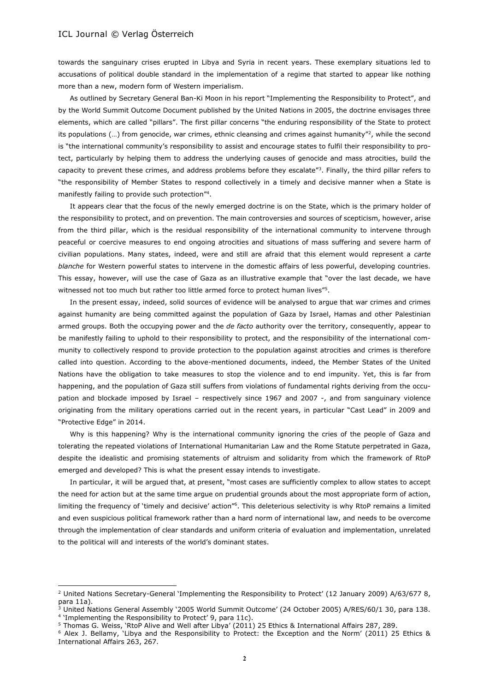$\overline{a}$ 

towards the sanguinary crises erupted in Libya and Syria in recent years. These exemplary situations led to accusations of political double standard in the implementation of a regime that started to appear like nothing more than a new, modern form of Western imperialism.

As outlined by Secretary General Ban-Ki Moon in his report "Implementing the Responsibility to Protect", and by the World Summit Outcome Document published by the United Nations in 2005, the doctrine envisages three elements, which are called "pillars". The first pillar concerns "the enduring responsibility of the State to protect its populations  $(...)$  from genocide, war crimes, ethnic cleansing and crimes against humanity"?, while the second is "the international community's responsibility to assist and encourage states to fulfil their responsibility to protect, particularly by helping them to address the underlying causes of genocide and mass atrocities, build the capacity to prevent these crimes, and address problems before they escalate<sup>*n*3</sup>. Finally, the third pillar refers to "the responsibility of Member States to respond collectively in a timely and decisive manner when a State is manifestly failing to provide such protection"<sup>4</sup> .

It appears clear that the focus of the newly emerged doctrine is on the State, which is the primary holder of the responsibility to protect, and on prevention. The main controversies and sources of scepticism, however, arise from the third pillar, which is the residual responsibility of the international community to intervene through peaceful or coercive measures to end ongoing atrocities and situations of mass suffering and severe harm of civilian populations. Many states, indeed, were and still are afraid that this element would represent a *carte blanche* for Western powerful states to intervene in the domestic affairs of less powerful, developing countries. This essay, however, will use the case of Gaza as an illustrative example that "over the last decade, we have witnessed not too much but rather too little armed force to protect human lives"<sup>5</sup>.

In the present essay, indeed, solid sources of evidence will be analysed to argue that war crimes and crimes against humanity are being committed against the population of Gaza by Israel, Hamas and other Palestinian armed groups. Both the occupying power and the *de facto* authority over the territory, consequently, appear to be manifestly failing to uphold to their responsibility to protect, and the responsibility of the international community to collectively respond to provide protection to the population against atrocities and crimes is therefore called into question. According to the above-mentioned documents, indeed, the Member States of the United Nations have the obligation to take measures to stop the violence and to end impunity. Yet, this is far from happening, and the population of Gaza still suffers from violations of fundamental rights deriving from the occupation and blockade imposed by Israel – respectively since 1967 and 2007 -, and from sanguinary violence originating from the military operations carried out in the recent years, in particular "Cast Lead" in 2009 and "Protective Edge" in 2014.

Why is this happening? Why is the international community ignoring the cries of the people of Gaza and tolerating the repeated violations of International Humanitarian Law and the Rome Statute perpetrated in Gaza, despite the idealistic and promising statements of altruism and solidarity from which the framework of RtoP emerged and developed? This is what the present essay intends to investigate.

In particular, it will be argued that, at present, "most cases are sufficiently complex to allow states to accept the need for action but at the same time argue on prudential grounds about the most appropriate form of action, limiting the frequency of 'timely and decisive' action"<sup>6</sup>. This deleterious selectivity is why RtoP remains a limited and even suspicious political framework rather than a hard norm of international law, and needs to be overcome through the implementation of clear standards and uniform criteria of evaluation and implementation, unrelated to the political will and interests of the world's dominant states.

<sup>&</sup>lt;sup>2</sup> United Nations Secretary-General 'Implementing the Responsibility to Protect' (12 January 2009) A/63/677 8, para 11a).

<sup>3</sup> United Nations General Assembly '2005 World Summit Outcome' (24 October 2005) A/RES/60/1 30, para 138. <sup>4</sup> 'Implementing the Responsibility to Protect' 9, para 11c).

<sup>5</sup> Thomas G. Weiss, 'RtoP Alive and Well after Libya' (2011) 25 Ethics & International Affairs 287, 289.

<sup>6</sup> Alex J. Bellamy, 'Libya and the Responsibility to Protect: the Exception and the Norm' (2011) 25 Ethics & International Affairs 263, 267.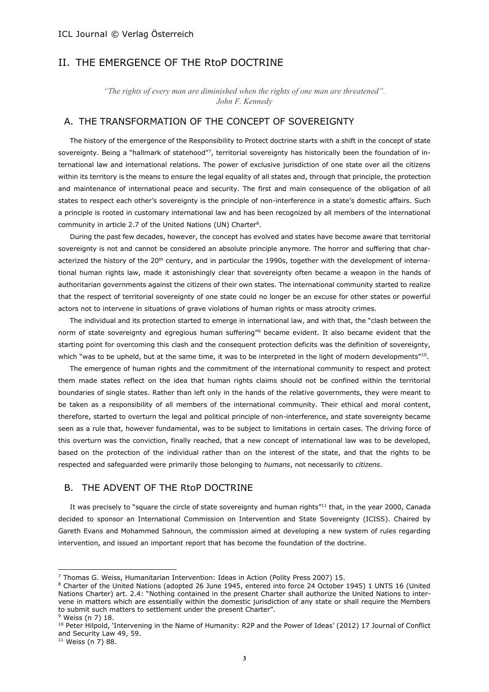# II. THE EMERGENCE OF THE RtoP DOCTRINE

*"The rights of every man are diminished when the rights of one man are threatened". John F. Kennedy*

## A. THE TRANSFORMATION OF THE CONCEPT OF SOVEREIGNTY

The history of the emergence of the Responsibility to Protect doctrine starts with a shift in the concept of state sovereignty. Being a "hallmark of statehood"7, territorial sovereignty has historically been the foundation of international law and international relations. The power of exclusive jurisdiction of one state over all the citizens within its territory is the means to ensure the legal equality of all states and, through that principle, the protection and maintenance of international peace and security. The first and main consequence of the obligation of all states to respect each other's sovereignty is the principle of non-interference in a state's domestic affairs. Such a principle is rooted in customary international law and has been recognized by all members of the international community in article 2.7 of the United Nations (UN) Charter<sup>8</sup>.

During the past few decades, however, the concept has evolved and states have become aware that territorial sovereignty is not and cannot be considered an absolute principle anymore. The horror and suffering that characterized the history of the 20<sup>th</sup> century, and in particular the 1990s, together with the development of international human rights law, made it astonishingly clear that sovereignty often became a weapon in the hands of authoritarian governments against the citizens of their own states. The international community started to realize that the respect of territorial sovereignty of one state could no longer be an excuse for other states or powerful actors not to intervene in situations of grave violations of human rights or mass atrocity crimes.

The individual and its protection started to emerge in international law, and with that, the "clash between the norm of state sovereignty and egregious human suffering"<sup>9</sup> became evident. It also became evident that the starting point for overcoming this clash and the consequent protection deficits was the definition of sovereignty, which "was to be upheld, but at the same time, it was to be interpreted in the light of modern developments" $^{\rm 10}$ .

The emergence of human rights and the commitment of the international community to respect and protect them made states reflect on the idea that human rights claims should not be confined within the territorial boundaries of single states. Rather than left only in the hands of the relative governments, they were meant to be taken as a responsibility of all members of the international community. Their ethical and moral content, therefore, started to overturn the legal and political principle of non-interference, and state sovereignty became seen as a rule that, however fundamental, was to be subject to limitations in certain cases. The driving force of this overturn was the conviction, finally reached, that a new concept of international law was to be developed, based on the protection of the individual rather than on the interest of the state, and that the rights to be respected and safeguarded were primarily those belonging to *humans*, not necessarily to *citizens*.

## B. THE ADVENT OF THE RtoP DOCTRINE

It was precisely to "square the circle of state sovereignty and human rights"<sup>11</sup> that, in the year 2000, Canada decided to sponsor an International Commission on Intervention and State Sovereignty (ICISS). Chaired by Gareth Evans and Mohammed Sahnoun, the commission aimed at developing a new system of rules regarding intervention, and issued an important report that has become the foundation of the doctrine.

<sup>7</sup> Thomas G. Weiss, Humanitarian Intervention: Ideas in Action (Polity Press 2007) 15.

<sup>8</sup> Charter of the United Nations (adopted 26 June 1945, entered into force 24 October 1945) 1 UNTS 16 (United Nations Charter) art. 2.4: "Nothing contained in the present Charter shall authorize the United Nations to intervene in matters which are essentially within the domestic jurisdiction of any state or shall require the Members to submit such matters to settlement under the present Charter".

<sup>&</sup>lt;sup>9</sup> Weiss (n 7) 18.

<sup>10</sup> Peter Hilpold, 'Intervening in the Name of Humanity: R2P and the Power of Ideas' (2012) 17 Journal of Conflict and Security Law 49, 59.

 $11$  Weiss (n 7) 88.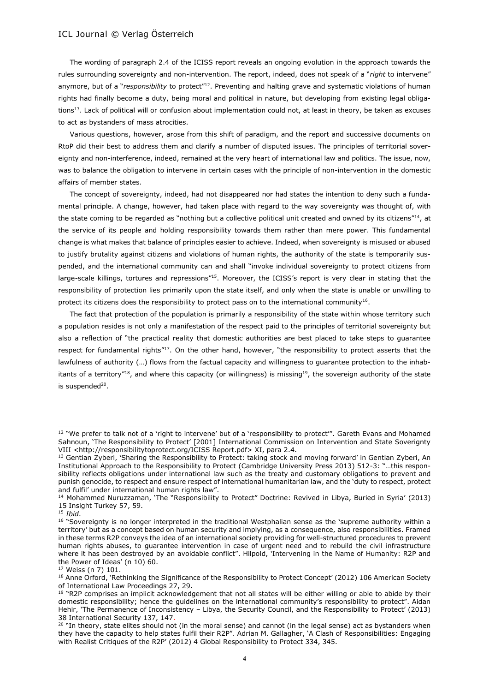The wording of paragraph 2.4 of the ICISS report reveals an ongoing evolution in the approach towards the rules surrounding sovereignty and non-intervention. The report, indeed, does not speak of a "*right* to intervene" anymore, but of a "*responsibility* to protect"<sup>12</sup>. Preventing and halting grave and systematic violations of human rights had finally become a duty, being moral and political in nature, but developing from existing legal obligations<sup>13</sup>. Lack of political will or confusion about implementation could not, at least in theory, be taken as excuses to act as bystanders of mass atrocities.

Various questions, however, arose from this shift of paradigm, and the report and successive documents on RtoP did their best to address them and clarify a number of disputed issues. The principles of territorial sovereignty and non-interference, indeed, remained at the very heart of international law and politics. The issue, now, was to balance the obligation to intervene in certain cases with the principle of non-intervention in the domestic affairs of member states.

The concept of sovereignty, indeed, had not disappeared nor had states the intention to deny such a fundamental principle. A change, however, had taken place with regard to the way sovereignty was thought of, with the state coming to be regarded as "nothing but a collective political unit created and owned by its citizens"<sup>14</sup>, at the service of its people and holding responsibility towards them rather than mere power. This fundamental change is what makes that balance of principles easier to achieve. Indeed, when sovereignty is misused or abused to justify brutality against citizens and violations of human rights, the authority of the state is temporarily suspended, and the international community can and shall "invoke individual sovereignty to protect citizens from large-scale killings, tortures and repressions"<sup>15</sup>. Moreover, the ICISS's report is very clear in stating that the responsibility of protection lies primarily upon the state itself, and only when the state is unable or unwilling to protect its citizens does the responsibility to protect pass on to the international community<sup>16</sup>.

The fact that protection of the population is primarily a responsibility of the state within whose territory such a population resides is not only a manifestation of the respect paid to the principles of territorial sovereignty but also a reflection of "the practical reality that domestic authorities are best placed to take steps to guarantee respect for fundamental rights"<sup>17</sup>. On the other hand, however, "the responsibility to protect asserts that the lawfulness of authority (...) flows from the factual capacity and willingness to guarantee protection to the inhabitants of a territory"<sup>18</sup>, and where this capacity (or willingness) is missing<sup>19</sup>, the sovereign authority of the state is suspended<sup>20</sup>.

 $12$  "We prefer to talk not of a 'right to intervene' but of a 'responsibility to protect'". Gareth Evans and Mohamed Sahnoun, 'The Responsibility to Protect' [2001] International Commission on Intervention and State Soverignty VIII <http://responsibilitytoprotect.org/ICISS Report.pdf> XI, para 2.4.

<sup>&</sup>lt;sup>13</sup> Gentian Zyberi, 'Sharing the Responsibility to Protect: taking stock and moving forward' in Gentian Zyberi, An Institutional Approach to the Responsibility to Protect (Cambridge University Press 2013) 512-3: "…this responsibility reflects obligations under international law such as the treaty and customary obligations to prevent and punish genocide, to respect and ensure respect of international humanitarian law, and the 'duty to respect, protect and fulfil' under international human rights law".

<sup>14</sup> Mohammed Nuruzzaman, 'The "Responsibility to Protect" Doctrine: Revived in Libya, Buried in Syria' (2013) 15 Insight Turkey 57, 59.

<sup>15</sup> *Ibid*.

<sup>&</sup>lt;sup>16</sup> "Sovereignty is no longer interpreted in the traditional Westphalian sense as the 'supreme authority within a territory' but as a concept based on human security and implying, as a consequence, also responsibilities. Framed in these terms R2P conveys the idea of an international society providing for well-structured procedures to prevent human rights abuses, to guarantee intervention in case of urgent need and to rebuild the civil infrastructure where it has been destroyed by an avoidable conflict". Hilpold, 'Intervening in the Name of Humanity: R2P and the Power of Ideas' (n 10) 60.

<sup>17</sup> Weiss (n 7) 101.

<sup>18</sup> Anne Orford, 'Rethinking the Significance of the Responsibility to Protect Concept' (2012) 106 American Society of International Law Proceedings 27, 29.

<sup>&</sup>lt;sup>19</sup> "R2P comprises an implicit acknowledgement that not all states will be either willing or able to abide by their domestic responsibility; hence the guidelines on the international community's responsibility to protect". Aidan Hehir, 'The Permanence of Inconsistency – Libya, the Security Council, and the Responsibility to Protect' (2013) 38 International Security 137, 147.

<sup>&</sup>lt;sup>20</sup> "In theory, state elites should not (in the moral sense) and cannot (in the legal sense) act as bystanders when they have the capacity to help states fulfil their R2P". Adrian M. Gallagher, 'A Clash of Responsibilities: Engaging with Realist Critiques of the R2P' (2012) 4 Global Responsibility to Protect 334, 345.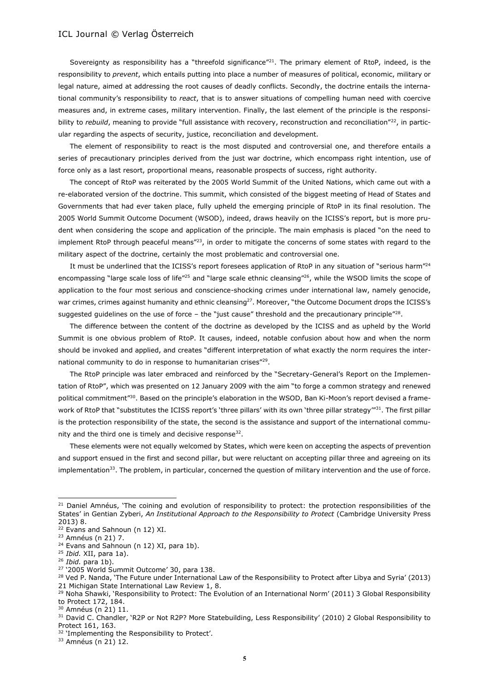Sovereignty as responsibility has a "threefold significance"<sup>21</sup>. The primary element of RtoP, indeed, is the responsibility to *prevent*, which entails putting into place a number of measures of political, economic, military or legal nature, aimed at addressing the root causes of deadly conflicts. Secondly, the doctrine entails the international community's responsibility to *react*, that is to answer situations of compelling human need with coercive measures and, in extreme cases, military intervention. Finally, the last element of the principle is the responsibility to *rebuild*, meaning to provide "full assistance with recovery, reconstruction and reconciliation"<sup>22</sup>, in particular regarding the aspects of security, justice, reconciliation and development.

The element of responsibility to react is the most disputed and controversial one, and therefore entails a series of precautionary principles derived from the just war doctrine, which encompass right intention, use of force only as a last resort, proportional means, reasonable prospects of success, right authority.

The concept of RtoP was reiterated by the 2005 World Summit of the United Nations, which came out with a re-elaborated version of the doctrine. This summit, which consisted of the biggest meeting of Head of States and Governments that had ever taken place, fully upheld the emerging principle of RtoP in its final resolution. The 2005 World Summit Outcome Document (WSOD), indeed, draws heavily on the ICISS's report, but is more prudent when considering the scope and application of the principle. The main emphasis is placed "on the need to implement RtoP through peaceful means"<sup>23</sup>, in order to mitigate the concerns of some states with regard to the military aspect of the doctrine, certainly the most problematic and controversial one.

It must be underlined that the ICISS's report foresees application of RtoP in any situation of "serious harm"<sup>24</sup> encompassing "large scale loss of life"<sup>25</sup> and "large scale ethnic cleansing"<sup>26</sup>, while the WSOD limits the scope of application to the four most serious and conscience-shocking crimes under international law, namely genocide, war crimes, crimes against humanity and ethnic cleansing<sup>27</sup>. Moreover, "the Outcome Document drops the ICISS's suggested guidelines on the use of force  $-$  the "just cause" threshold and the precautionary principle"<sup>28</sup>.

The difference between the content of the doctrine as developed by the ICISS and as upheld by the World Summit is one obvious problem of RtoP. It causes, indeed, notable confusion about how and when the norm should be invoked and applied, and creates "different interpretation of what exactly the norm requires the international community to do in response to humanitarian crises"<sup>29</sup>.

The RtoP principle was later embraced and reinforced by the "Secretary-General's Report on the Implementation of RtoP", which was presented on 12 January 2009 with the aim "to forge a common strategy and renewed political commitment"30. Based on the principle's elaboration in the WSOD, Ban Ki-Moon's report devised a framework of RtoP that "substitutes the ICISS report's 'three pillars' with its own 'three pillar strategy'"<sup>31</sup>. The first pillar is the protection responsibility of the state, the second is the assistance and support of the international community and the third one is timely and decisive response<sup>32</sup>.

These elements were not equally welcomed by States, which were keen on accepting the aspects of prevention and support ensued in the first and second pillar, but were reluctant on accepting pillar three and agreeing on its implementation $33$ . The problem, in particular, concerned the question of military intervention and the use of force.

l

<sup>&</sup>lt;sup>21</sup> Daniel Amnéus, 'The coining and evolution of responsibility to protect: the protection responsibilities of the States' in Gentian Zyberi, *An Institutional Approach to the Responsibility to Protect* (Cambridge University Press 2013) 8.

 $22$  Evans and Sahnoun (n 12) XI.

<sup>23</sup> Amnéus (n 21) 7.

<sup>&</sup>lt;sup>24</sup> Evans and Sahnoun (n 12) XI, para 1b).

<sup>25</sup> *Ibid.* XII, para 1a).

<sup>26</sup> *Ibid.* para 1b).

<sup>27</sup> '2005 World Summit Outcome' 30, para 138.

<sup>&</sup>lt;sup>28</sup> Ved P. Nanda, 'The Future under International Law of the Responsibility to Protect after Libya and Syria' (2013) 21 Michigan State International Law Review 1, 8.

<sup>&</sup>lt;sup>29</sup> Noha Shawki, 'Responsibility to Protect: The Evolution of an International Norm' (2011) 3 Global Responsibility to Protect 172, 184.

<sup>30</sup> Amnéus (n 21) 11.

<sup>&</sup>lt;sup>31</sup> David C. Chandler, 'R2P or Not R2P? More Statebuilding, Less Responsibility' (2010) 2 Global Responsibility to Protect 161, 163.

<sup>&</sup>lt;sup>32</sup> 'Implementing the Responsibility to Protect'.

<sup>33</sup> Amnéus (n 21) 12.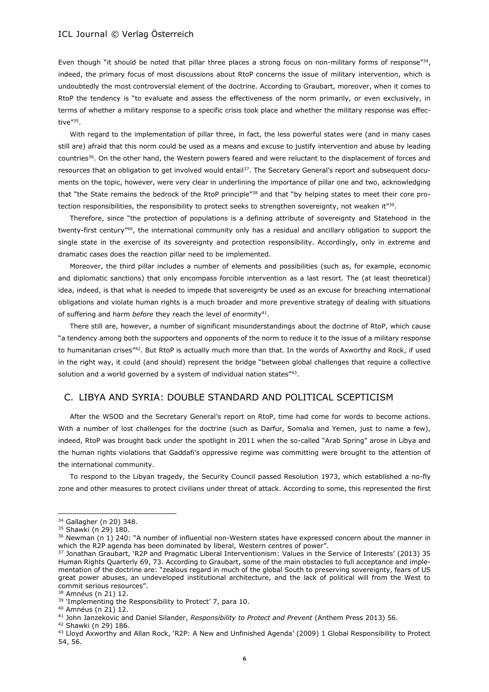Even though "it should be noted that pillar three places a strong focus on non-military forms of response"<sup>34</sup>, indeed, the primary focus of most discussions about RtoP concerns the issue of military intervention, which is undoubtedly the most controversial element of the doctrine. According to Graubart, moreover, when it comes to RtoP the tendency is "to evaluate and assess the effectiveness of the norm primarily, or even exclusively, in terms of whether a military response to a specific crisis took place and whether the military response was effective"<sup>35</sup>.

With regard to the implementation of pillar three, in fact, the less powerful states were (and in many cases still are) afraid that this norm could be used as a means and excuse to justify intervention and abuse by leading countries<sup>36</sup>. On the other hand, the Western powers feared and were reluctant to the displacement of forces and resources that an obligation to get involved would entail<sup>37</sup>. The Secretary General's report and subsequent documents on the topic, however, were very clear in underlining the importance of pillar one and two, acknowledging that "the State remains the bedrock of the RtoP principle"<sup>38</sup> and that "by helping states to meet their core protection responsibilities, the responsibility to protect seeks to strengthen sovereignty, not weaken it" $^{\rm 39}$ .

Therefore, since "the protection of populations is a defining attribute of sovereignty and Statehood in the twenty-first century"<sup>40</sup>, the international community only has a residual and ancillary obligation to support the single state in the exercise of its sovereignty and protection responsibility. Accordingly, only in extreme and dramatic cases does the reaction pillar need to be implemented.

Moreover, the third pillar includes a number of elements and possibilities (such as, for example, economic and diplomatic sanctions) that only encompass forcible intervention as a last resort. The (at least theoretical) idea, indeed, is that what is needed to impede that sovereignty be used as an excuse for breaching international obligations and violate human rights is a much broader and more preventive strategy of dealing with situations of suffering and harm *before* they reach the level of enormity<sup>41</sup>.

There still are, however, a number of significant misunderstandings about the doctrine of RtoP, which cause "a tendency among both the supporters and opponents of the norm to reduce it to the issue of a military response to humanitarian crises"<sup>42</sup>. But RtoP is actually much more than that. In the words of Axworthy and Rock, if used in the right way, it could (and should) represent the bridge "between global challenges that require a collective solution and a world governed by a system of individual nation states"<sup>43</sup>.

## C. LIBYA AND SYRIA: DOUBLE STANDARD AND POLITICAL SCEPTICISM

After the WSOD and the Secretary General's report on RtoP, time had come for words to become actions. With a number of lost challenges for the doctrine (such as Darfur, Somalia and Yemen, just to name a few), indeed, RtoP was brought back under the spotlight in 2011 when the so-called "Arab Spring" arose in Libya and the human rights violations that Gaddafi's oppressive regime was committing were brought to the attention of the international community.

To respond to the Libyan tragedy, the Security Council passed Resolution 1973, which established a no-fly zone and other measures to protect civilians under threat of attack. According to some, this represented the first

<sup>&</sup>lt;sup>34</sup> Gallagher (n 20) 348.

<sup>35</sup> Shawki (n 29) 180.

<sup>36</sup> Newman (n 1) 240: "A number of influential non-Western states have expressed concern about the manner in which the R2P agenda has been dominated by liberal, Western centres of power".

<sup>37</sup> Jonathan Graubart, 'R2P and Pragmatic Liberal Interventionism: Values in the Service of Interests' (2013) 35 Human Rights Quarterly 69, 73. According to Graubart, some of the main obstacles to full acceptance and implementation of the doctrine are: "zealous regard in much of the global South to preserving sovereignty, fears of US great power abuses, an undeveloped institutional architecture, and the lack of political will from the West to commit serious resources".

<sup>38</sup> Amnéus (n 21) 12.

<sup>&</sup>lt;sup>39</sup> 'Implementing the Responsibility to Protect' 7, para 10.

<sup>40</sup> Amnéus (n 21) 12.

<sup>41</sup> John Janzekovic and Daniel Silander, *Responsibility to Protect and Prevent* (Anthem Press 2013) 56.

<sup>42</sup> Shawki (n 29) 186.

<sup>43</sup> Lloyd Axworthy and Allan Rock, 'R2P: A New and Unfinished Agenda' (2009) 1 Global Responsibility to Protect 54, 56.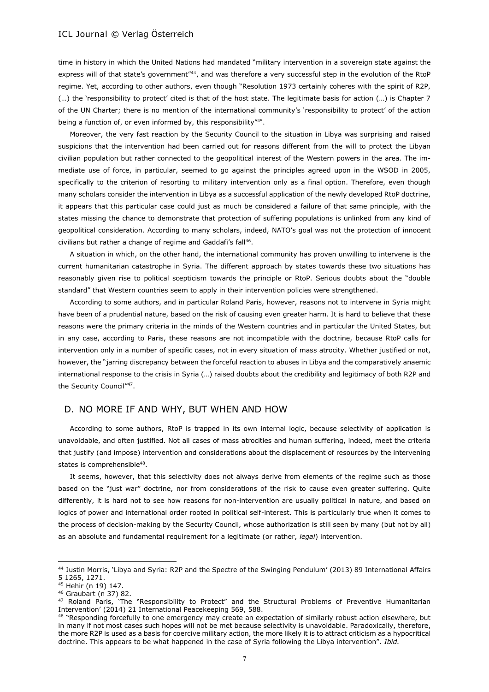time in history in which the United Nations had mandated "military intervention in a sovereign state against the express will of that state's government"<sup>44</sup>, and was therefore a very successful step in the evolution of the RtoP regime. Yet, according to other authors, even though "Resolution 1973 certainly coheres with the spirit of R2P, (…) the 'responsibility to protect' cited is that of the host state. The legitimate basis for action (…) is Chapter 7 of the UN Charter; there is no mention of the international community's 'responsibility to protect' of the action being a function of, or even informed by, this responsibility"<sup>45</sup>.

Moreover, the very fast reaction by the Security Council to the situation in Libya was surprising and raised suspicions that the intervention had been carried out for reasons different from the will to protect the Libyan civilian population but rather connected to the geopolitical interest of the Western powers in the area. The immediate use of force, in particular, seemed to go against the principles agreed upon in the WSOD in 2005, specifically to the criterion of resorting to military intervention only as a final option. Therefore, even though many scholars consider the intervention in Libya as a successful application of the newly developed RtoP doctrine, it appears that this particular case could just as much be considered a failure of that same principle, with the states missing the chance to demonstrate that protection of suffering populations is unlinked from any kind of geopolitical consideration. According to many scholars, indeed, NATO's goal was not the protection of innocent civilians but rather a change of regime and Gaddafi's fall<sup>46</sup>.

A situation in which, on the other hand, the international community has proven unwilling to intervene is the current humanitarian catastrophe in Syria. The different approach by states towards these two situations has reasonably given rise to political scepticism towards the principle or RtoP. Serious doubts about the "double standard" that Western countries seem to apply in their intervention policies were strengthened.

According to some authors, and in particular Roland Paris, however, reasons not to intervene in Syria might have been of a prudential nature, based on the risk of causing even greater harm. It is hard to believe that these reasons were the primary criteria in the minds of the Western countries and in particular the United States, but in any case, according to Paris, these reasons are not incompatible with the doctrine, because RtoP calls for intervention only in a number of specific cases, not in every situation of mass atrocity. Whether justified or not, however, the "jarring discrepancy between the forceful reaction to abuses in Libya and the comparatively anaemic international response to the crisis in Syria (…) raised doubts about the credibility and legitimacy of both R2P and the Security Council"<sup>47</sup> .

## D. NO MORE IF AND WHY, BUT WHEN AND HOW

According to some authors, RtoP is trapped in its own internal logic, because selectivity of application is unavoidable, and often justified. Not all cases of mass atrocities and human suffering, indeed, meet the criteria that justify (and impose) intervention and considerations about the displacement of resources by the intervening states is comprehensible<sup>48</sup>.

It seems, however, that this selectivity does not always derive from elements of the regime such as those based on the "just war" doctrine, nor from considerations of the risk to cause even greater suffering. Quite differently, it is hard not to see how reasons for non-intervention are usually political in nature, and based on logics of power and international order rooted in political self-interest. This is particularly true when it comes to the process of decision-making by the Security Council, whose authorization is still seen by many (but not by all) as an absolute and fundamental requirement for a legitimate (or rather, *legal*) intervention.

<sup>44</sup> Justin Morris, 'Libya and Syria: R2P and the Spectre of the Swinging Pendulum' (2013) 89 International Affairs 5 1265, 1271.

<sup>45</sup> Hehir (n 19) 147.

<sup>46</sup> Graubart (n 37) 82.

<sup>47</sup> Roland Paris, 'The "Responsibility to Protect" and the Structural Problems of Preventive Humanitarian Intervention' (2014) 21 International Peacekeeping 569, 588.

<sup>48 &</sup>quot;Responding forcefully to one emergency may create an expectation of similarly robust action elsewhere, but in many if not most cases such hopes will not be met because selectivity is unavoidable. Paradoxically, therefore, the more R2P is used as a basis for coercive military action, the more likely it is to attract criticism as a hypocritical doctrine. This appears to be what happened in the case of Syria following the Libya intervention". *Ibid.*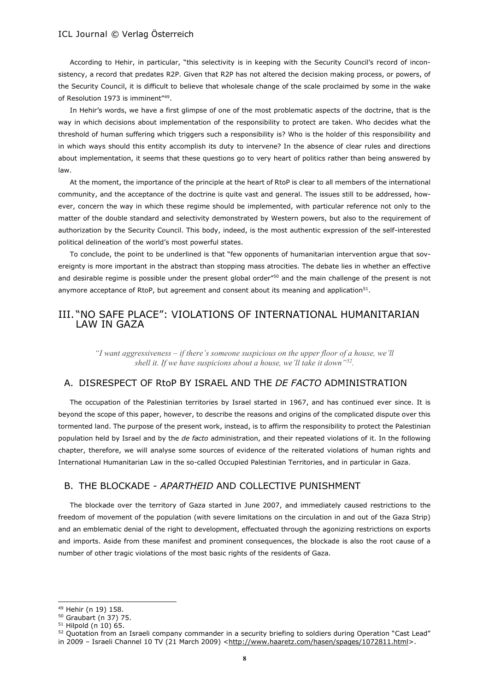According to Hehir, in particular, "this selectivity is in keeping with the Security Council's record of inconsistency, a record that predates R2P. Given that R2P has not altered the decision making process, or powers, of the Security Council, it is difficult to believe that wholesale change of the scale proclaimed by some in the wake of Resolution 1973 is imminent"<sup>49</sup>.

In Hehir's words, we have a first glimpse of one of the most problematic aspects of the doctrine, that is the way in which decisions about implementation of the responsibility to protect are taken. Who decides what the threshold of human suffering which triggers such a responsibility is? Who is the holder of this responsibility and in which ways should this entity accomplish its duty to intervene? In the absence of clear rules and directions about implementation, it seems that these questions go to very heart of politics rather than being answered by law.

At the moment, the importance of the principle at the heart of RtoP is clear to all members of the international community, and the acceptance of the doctrine is quite vast and general. The issues still to be addressed, however, concern the way in which these regime should be implemented, with particular reference not only to the matter of the double standard and selectivity demonstrated by Western powers, but also to the requirement of authorization by the Security Council. This body, indeed, is the most authentic expression of the self-interested political delineation of the world's most powerful states.

To conclude, the point to be underlined is that "few opponents of humanitarian intervention argue that sovereignty is more important in the abstract than stopping mass atrocities. The debate lies in whether an effective and desirable regime is possible under the present global order"<sup>50</sup> and the main challenge of the present is not anymore acceptance of RtoP, but agreement and consent about its meaning and application<sup>51</sup>.

## III. "NO SAFE PLACE": VIOLATIONS OF INTERNATIONAL HUMANITARIAN LAW IN GAZA

*"I want aggressiveness – if there's someone suspicious on the upper floor of a house, we'll shell it. If we have suspicions about a house, we'll take it down"<sup>52</sup> .*

## A. DISRESPECT OF RtoP BY ISRAEL AND THE *DE FACTO* ADMINISTRATION

The occupation of the Palestinian territories by Israel started in 1967, and has continued ever since. It is beyond the scope of this paper, however, to describe the reasons and origins of the complicated dispute over this tormented land. The purpose of the present work, instead, is to affirm the responsibility to protect the Palestinian population held by Israel and by the *de facto* administration, and their repeated violations of it. In the following chapter, therefore, we will analyse some sources of evidence of the reiterated violations of human rights and International Humanitarian Law in the so-called Occupied Palestinian Territories, and in particular in Gaza.

## B. THE BLOCKADE - *APARTHEID* AND COLLECTIVE PUNISHMENT

The blockade over the territory of Gaza started in June 2007, and immediately caused restrictions to the freedom of movement of the population (with severe limitations on the circulation in and out of the Gaza Strip) and an emblematic denial of the right to development, effectuated through the agonizing restrictions on exports and imports. Aside from these manifest and prominent consequences, the blockade is also the root cause of a number of other tragic violations of the most basic rights of the residents of Gaza.

<sup>49</sup> Hehir (n 19) 158.

<sup>50</sup> Graubart (n 37) 75.

 $51$  Hilpold (n 10) 65.

<sup>52</sup> Quotation from an Israeli company commander in a security briefing to soldiers during Operation "Cast Lead"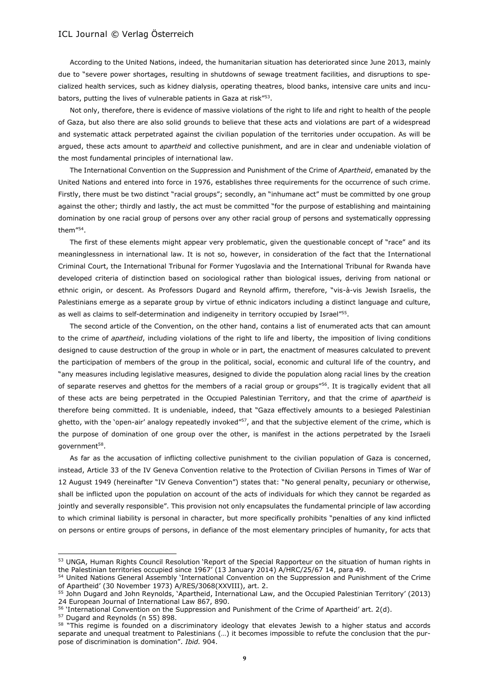According to the United Nations, indeed, the humanitarian situation has deteriorated since June 2013, mainly due to "severe power shortages, resulting in shutdowns of sewage treatment facilities, and disruptions to specialized health services, such as kidney dialysis, operating theatres, blood banks, intensive care units and incubators, putting the lives of vulnerable patients in Gaza at risk"<sup>53</sup>.

Not only, therefore, there is evidence of massive violations of the right to life and right to health of the people of Gaza, but also there are also solid grounds to believe that these acts and violations are part of a widespread and systematic attack perpetrated against the civilian population of the territories under occupation. As will be argued, these acts amount to *apartheid* and collective punishment, and are in clear and undeniable violation of the most fundamental principles of international law.

The International Convention on the Suppression and Punishment of the Crime of *Apartheid*, emanated by the United Nations and entered into force in 1976, establishes three requirements for the occurrence of such crime. Firstly, there must be two distinct "racial groups"; secondly, an "inhumane act" must be committed by one group against the other; thirdly and lastly, the act must be committed "for the purpose of establishing and maintaining domination by one racial group of persons over any other racial group of persons and systematically oppressing them"<sup>54</sup> .

The first of these elements might appear very problematic, given the questionable concept of "race" and its meaninglessness in international law. It is not so, however, in consideration of the fact that the International Criminal Court, the International Tribunal for Former Yugoslavia and the International Tribunal for Rwanda have developed criteria of distinction based on sociological rather than biological issues, deriving from national or ethnic origin, or descent. As Professors Dugard and Reynold affirm, therefore, "vis-à-vis Jewish Israelis, the Palestinians emerge as a separate group by virtue of ethnic indicators including a distinct language and culture, as well as claims to self-determination and indigeneity in territory occupied by Israel"<sup>55</sup>.

The second article of the Convention, on the other hand, contains a list of enumerated acts that can amount to the crime of *apartheid*, including violations of the right to life and liberty, the imposition of living conditions designed to cause destruction of the group in whole or in part, the enactment of measures calculated to prevent the participation of members of the group in the political, social, economic and cultural life of the country, and "any measures including legislative measures, designed to divide the population along racial lines by the creation of separate reserves and ghettos for the members of a racial group or groups"<sup>56</sup>. It is tragically evident that all of these acts are being perpetrated in the Occupied Palestinian Territory, and that the crime of *apartheid* is therefore being committed. It is undeniable, indeed, that "Gaza effectively amounts to a besieged Palestinian ghetto, with the 'open-air' analogy repeatedly invoked"<sup>57</sup>, and that the subjective element of the crime, which is the purpose of domination of one group over the other, is manifest in the actions perpetrated by the Israeli government<sup>58</sup>.

As far as the accusation of inflicting collective punishment to the civilian population of Gaza is concerned, instead, Article 33 of the IV Geneva Convention relative to the Protection of Civilian Persons in Times of War of 12 August 1949 (hereinafter "IV Geneva Convention") states that: "No general penalty, pecuniary or otherwise, shall be inflicted upon the population on account of the acts of individuals for which they cannot be regarded as jointly and severally responsible". This provision not only encapsulates the fundamental principle of law according to which criminal liability is personal in character, but more specifically prohibits "penalties of any kind inflicted on persons or entire groups of persons, in defiance of the most elementary principles of humanity, for acts that

<sup>57</sup> Dugard and Reynolds (n 55) 898.

<sup>53</sup> UNGA, Human Rights Council Resolution 'Report of the Special Rapporteur on the situation of human rights in the Palestinian territories occupied since 1967' (13 January 2014) A/HRC/25/67 14, para 49.

<sup>54</sup> United Nations General Assembly 'International Convention on the Suppression and Punishment of the Crime of Apartheid' (30 November 1973) A/RES/3068(XXVIII), art. 2.

<sup>55</sup> John Dugard and John Reynolds, 'Apartheid, International Law, and the Occupied Palestinian Territory' (2013) 24 European Journal of International Law 867, 890.

<sup>56</sup> 'International Convention on the Suppression and Punishment of the Crime of Apartheid' art. 2(d).

<sup>&</sup>lt;sup>58</sup> "This regime is founded on a discriminatory ideology that elevates Jewish to a higher status and accords separate and unequal treatment to Palestinians (…) it becomes impossible to refute the conclusion that the purpose of discrimination is domination". *Ibid.* 904.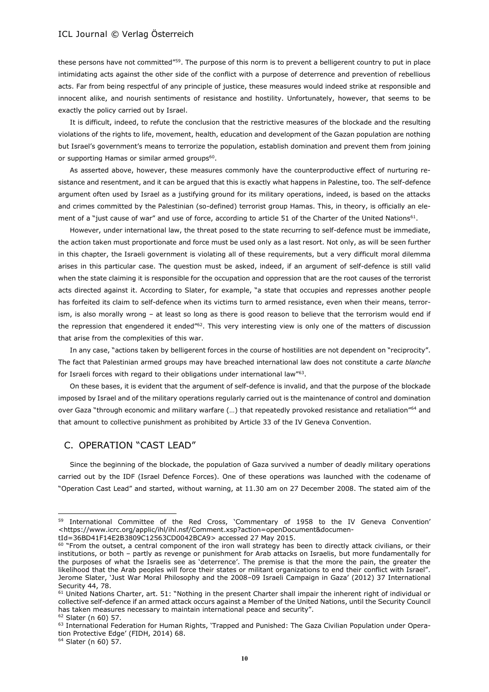these persons have not committed"<sup>59</sup>. The purpose of this norm is to prevent a belligerent country to put in place intimidating acts against the other side of the conflict with a purpose of deterrence and prevention of rebellious acts. Far from being respectful of any principle of justice, these measures would indeed strike at responsible and innocent alike, and nourish sentiments of resistance and hostility. Unfortunately, however, that seems to be exactly the policy carried out by Israel.

It is difficult, indeed, to refute the conclusion that the restrictive measures of the blockade and the resulting violations of the rights to life, movement, health, education and development of the Gazan population are nothing but Israel's government's means to terrorize the population, establish domination and prevent them from joining or supporting Hamas or similar armed groups<sup>60</sup>.

As asserted above, however, these measures commonly have the counterproductive effect of nurturing resistance and resentment, and it can be argued that this is exactly what happens in Palestine, too. The self-defence argument often used by Israel as a justifying ground for its military operations, indeed, is based on the attacks and crimes committed by the Palestinian (so-defined) terrorist group Hamas. This, in theory, is officially an element of a "just cause of war" and use of force, according to article 51 of the Charter of the United Nations<sup>61</sup>.

However, under international law, the threat posed to the state recurring to self-defence must be immediate, the action taken must proportionate and force must be used only as a last resort. Not only, as will be seen further in this chapter, the Israeli government is violating all of these requirements, but a very difficult moral dilemma arises in this particular case. The question must be asked, indeed, if an argument of self-defence is still valid when the state claiming it is responsible for the occupation and oppression that are the root causes of the terrorist acts directed against it. According to Slater, for example, "a state that occupies and represses another people has forfeited its claim to self-defence when its victims turn to armed resistance, even when their means, terrorism, is also morally wrong – at least so long as there is good reason to believe that the terrorism would end if the repression that engendered it ended"<sup>62</sup>. This very interesting view is only one of the matters of discussion that arise from the complexities of this war.

In any case, "actions taken by belligerent forces in the course of hostilities are not dependent on "reciprocity". The fact that Palestinian armed groups may have breached international law does not constitute a *carte blanche* for Israeli forces with regard to their obligations under international law"<sup>63</sup>.

On these bases, it is evident that the argument of self-defence is invalid, and that the purpose of the blockade imposed by Israel and of the military operations regularly carried out is the maintenance of control and domination over Gaza "through economic and military warfare (...) that repeatedly provoked resistance and retaliation"<sup>64</sup> and that amount to collective punishment as prohibited by Article 33 of the IV Geneva Convention.

## C. OPERATION "CAST LEAD"

Since the beginning of the blockade, the population of Gaza survived a number of deadly military operations carried out by the IDF (Israel Defence Forces). One of these operations was launched with the codename of "Operation Cast Lead" and started, without warning, at 11.30 am on 27 December 2008. The stated aim of the

<sup>59</sup> [International Committee of the Red C](https://www.icrc.org/ihl/com/380-600038)ross, 'Commentary of 1958 to the IV Geneva Convention' <https://www.icrc.org/applic/ihl/ihl.nsf/Comment.xsp?action=openDocument&documentId=36BD41F14E2B3809C12563CD0042BCA9> accessed 27 May 2015.

 $60$  "From the outset, a central component of the iron wall strategy has been to directly attack civilians, or their institutions, or both – partly as revenge or punishment for Arab attacks on Israelis, but more fundamentally for the purposes of what the Israelis see as 'deterrence'. The premise is that the more the pain, the greater the likelihood that the Arab peoples will force their states or militant organizations to end their conflict with Israel". Jerome Slater, 'Just War Moral Philosophy and the 2008–09 Israeli Campaign in Gaza' (2012) 37 International Security 44, 78.

 $61$  United Nations Charter, art. 51: "Nothing in the present Charter shall impair the inherent right of individual or collective self-defence if an armed attack occurs against a Member of the United Nations, until the Security Council has taken measures necessary to maintain international peace and security".

<sup>62</sup> Slater (n 60) 57.

<sup>&</sup>lt;sup>63</sup> International Federation for Human Rights, 'Trapped and Punished: The Gaza Civilian Population under Operation Protective Edge' (FIDH, 2014) 68.

<sup>64</sup> Slater (n 60) 57.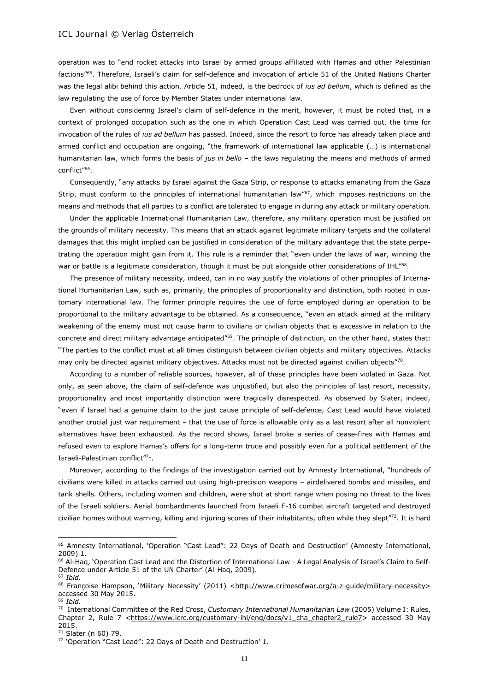operation was to "end rocket attacks into Israel by armed groups affiliated with Hamas and other Palestinian factions"<sup>65</sup>. Therefore, Israeli's claim for self-defence and invocation of article 51 of the United Nations Charter was the legal alibi behind this action. Article 51, indeed, is the bedrock of *ius ad bellum*, which is defined as the law regulating the use of force by Member States under international law.

Even without considering Israel's claim of self-defence in the merit, however, it must be noted that, in a context of prolonged occupation such as the one in which Operation Cast Lead was carried out, the time for invocation of the rules of *ius ad bellum* has passed. Indeed, since the resort to force has already taken place and armed conflict and occupation are ongoing, "the framework of international law applicable (…) is international humanitarian law, which forms the basis of *jus in bello* – the laws regulating the means and methods of armed conflict"<sup>66</sup> .

Consequently, "any attacks by Israel against the Gaza Strip, or response to attacks emanating from the Gaza Strip, must conform to the principles of international humanitarian law"<sup>67</sup>, which imposes restrictions on the means and methods that all parties to a conflict are tolerated to engage in during any attack or military operation.

Under the applicable International Humanitarian Law, therefore, any military operation must be justified on the grounds of military necessity. This means that an attack against legitimate military targets and the collateral damages that this might implied can be justified in consideration of the military advantage that the state perpetrating the operation might gain from it. This rule is a reminder that "even under the laws of war, winning the war or battle is a legitimate consideration, though it must be put alongside other considerations of IHL"<sup>68</sup>.

The presence of military necessity, indeed, can in no way justify the violations of other principles of International Humanitarian Law, such as, primarily, the principles of proportionality and distinction, both rooted in customary international law. The former principle requires the use of force employed during an operation to be proportional to the military advantage to be obtained. As a consequence, "even an attack aimed at the military weakening of the enemy must not cause harm to civilians or civilian objects that is excessive in relation to the concrete and direct military advantage anticipated"<sup>69</sup>. The principle of distinction, on the other hand, states that: "The parties to the conflict must at all times distinguish between civilian objects and military objectives. Attacks may only be directed against military objectives. Attacks must not be directed against civilian objects"<sup>70</sup>.

According to a number of reliable sources, however, all of these principles have been violated in Gaza. Not only, as seen above, the claim of self-defence was unjustified, but also the principles of last resort, necessity, proportionality and most importantly distinction were tragically disrespected. As observed by Slater, indeed, "even if Israel had a genuine claim to the just cause principle of self-defence, Cast Lead would have violated another crucial just war requirement – that the use of force is allowable only as a last resort after all nonviolent alternatives have been exhausted. As the record shows, Israel broke a series of cease-fires with Hamas and refused even to explore Hamas's offers for a long-term truce and possibly even for a political settlement of the Israeli-Palestinian conflict"<sup>71</sup>.

Moreover, according to the findings of the investigation carried out by Amnesty International, "hundreds of civilians were killed in attacks carried out using high-precision weapons – airdelivered bombs and missiles, and tank shells. Others, including women and children, were shot at short range when posing no threat to the lives of the Israeli soldiers. Aerial bombardments launched from Israeli F-16 combat aircraft targeted and destroyed civilian homes without warning, killing and injuring scores of their inhabitants, often while they slept"72. It is hard

<sup>65</sup> Amnesty International, 'Operation "Cast Lead": 22 Days of Death and Destruction' (Amnesty International, 2009) 1.

<sup>&</sup>lt;sup>66</sup> Al-Haq, 'Operation Cast Lead and the Distortion of International Law - A Legal Analysis of Israel's Claim to Self-Defence under Article 51 of the UN Charter' (Al-Haq, 2009). <sup>67</sup> *Ibid.*

<sup>68</sup> Françoise Hampson, 'Military Necessity' (2011) <http://www.crimesofwar.org/a-z-guide/military-necessity> accessed 30 May 2015.

<sup>69</sup> *Ibid.*

<sup>70</sup> International Committee of the Red Cross, *Customary International Humanitarian Law* (2005) Volume I: Rules, Chapter 2, Rule 7 [<https://www.icrc.org/customary-ihl/eng/docs/v1\\_cha\\_chapter2\\_rule7>](https://www.icrc.org/customary-ihl/eng/docs/v1_cha_chapter2_rule7) accessed 30 May 2015.

<sup>71</sup> Slater (n 60) 79.

<sup>&</sup>lt;sup>72</sup> 'Operation "Cast Lead": 22 Days of Death and Destruction' 1.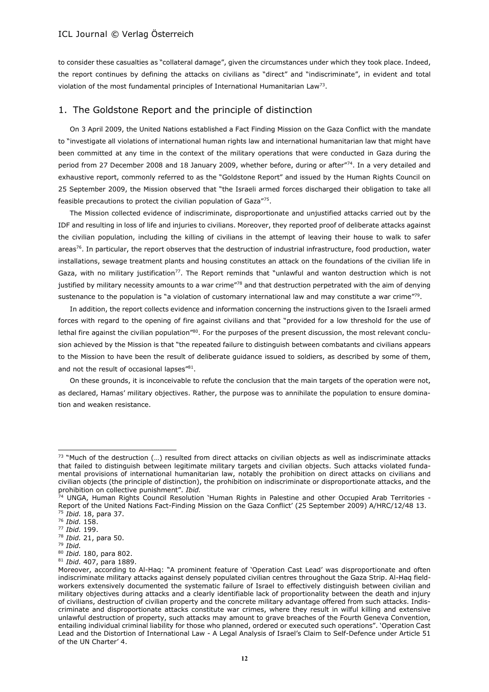to consider these casualties as "collateral damage", given the circumstances under which they took place. Indeed, the report continues by defining the attacks on civilians as "direct" and "indiscriminate", in evident and total violation of the most fundamental principles of International Humanitarian Law<sup>73</sup>.

## 1. The Goldstone Report and the principle of distinction

On 3 April 2009, the United Nations established a Fact Finding Mission on the Gaza Conflict with the mandate to "investigate all violations of international human rights law and international humanitarian law that might have been committed at any time in the context of the military operations that were conducted in Gaza during the period from 27 December 2008 and 18 January 2009, whether before, during or after"<sup>74</sup>. In a very detailed and exhaustive report, commonly referred to as the "Goldstone Report" and issued by the Human Rights Council on 25 September 2009, the Mission observed that "the Israeli armed forces discharged their obligation to take all feasible precautions to protect the civilian population of Gaza"<sup>75</sup>.

The Mission collected evidence of indiscriminate, disproportionate and unjustified attacks carried out by the IDF and resulting in loss of life and injuries to civilians. Moreover, they reported proof of deliberate attacks against the civilian population, including the killing of civilians in the attempt of leaving their house to walk to safer areas<sup>76</sup>. In particular, the report observes that the destruction of industrial infrastructure, food production, water installations, sewage treatment plants and housing constitutes an attack on the foundations of the civilian life in Gaza, with no military justification<sup>77</sup>. The Report reminds that "unlawful and wanton destruction which is not justified by military necessity amounts to a war crime<sup>"78</sup> and that destruction perpetrated with the aim of denying sustenance to the population is "a violation of customary international law and may constitute a war crime"<sup>79</sup>.

In addition, the report collects evidence and information concerning the instructions given to the Israeli armed forces with regard to the opening of fire against civilians and that "provided for a low threshold for the use of lethal fire against the civilian population"80. For the purposes of the present discussion, the most relevant conclusion achieved by the Mission is that "the repeated failure to distinguish between combatants and civilians appears to the Mission to have been the result of deliberate guidance issued to soldiers, as described by some of them, and not the result of occasional lapses"<sup>81</sup>.

On these grounds, it is inconceivable to refute the conclusion that the main targets of the operation were not, as declared, Hamas' military objectives. Rather, the purpose was to annihilate the population to ensure domination and weaken resistance.

 $73$  "Much of the destruction  $(...)$  resulted from direct attacks on civilian objects as well as indiscriminate attacks that failed to distinguish between legitimate military targets and civilian objects. Such attacks violated fundamental provisions of international humanitarian law, notably the prohibition on direct attacks on civilians and civilian objects (the principle of distinction), the prohibition on indiscriminate or disproportionate attacks, and the prohibition on collective punishment". *Ibid.*

<sup>&</sup>lt;sup>74</sup> UNGA, Human Rights Council Resolution `Human Rights in Palestine and other Occupied Arab Territories -Report of the United Nations Fact-Finding Mission on the Gaza Conflict' (25 September 2009) A/HRC/12/48 13. <sup>75</sup> *Ibid.* 18, para 37.

<sup>76</sup> *Ibid.* 158.

<sup>77</sup> *Ibid.* 199.

<sup>78</sup> *Ibid.* 21, para 50.

<sup>79</sup> *Ibid.*

<sup>80</sup> *Ibid.* 180, para 802.

<sup>81</sup> *Ibid.* 407, para 1889.

Moreover, according to Al-Haq: "A prominent feature of 'Operation Cast Lead' was disproportionate and often indiscriminate military attacks against densely populated civilian centres throughout the Gaza Strip. Al-Haq fieldworkers extensively documented the systematic failure of Israel to effectively distinguish between civilian and military objectives during attacks and a clearly identifiable lack of proportionality between the death and injury of civilians, destruction of civilian property and the concrete military advantage offered from such attacks. Indiscriminate and disproportionate attacks constitute war crimes, where they result in wilful killing and extensive unlawful destruction of property, such attacks may amount to grave breaches of the Fourth Geneva Convention, entailing individual criminal liability for those who planned, ordered or executed such operations". 'Operation Cast Lead and the Distortion of International Law - A Legal Analysis of Israel's Claim to Self-Defence under Article 51 of the UN Charter' 4.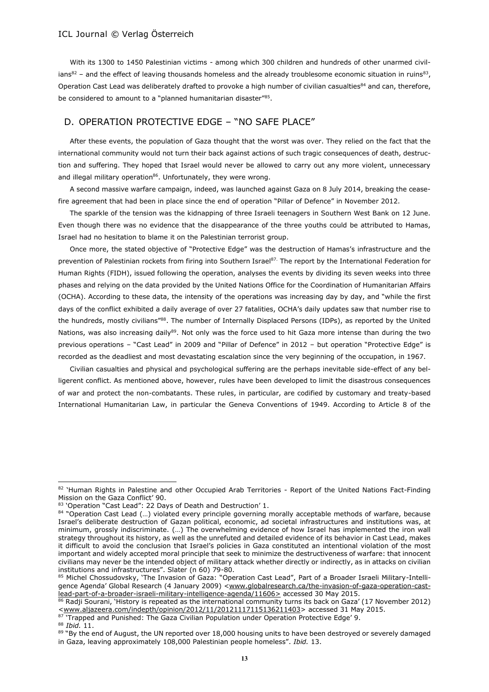With its 1300 to 1450 Palestinian victims - among which 300 children and hundreds of other unarmed civilians $^{82}$  – and the effect of leaving thousands homeless and the already troublesome economic situation in ruins $^{83}$ , Operation Cast Lead was deliberately drafted to provoke a high number of civilian casualties<sup>84</sup> and can, therefore, be considered to amount to a "planned humanitarian disaster"<sup>85</sup>.

## D. OPERATION PROTECTIVE EDGE – "NO SAFE PLACE"

After these events, the population of Gaza thought that the worst was over. They relied on the fact that the international community would not turn their back against actions of such tragic consequences of death, destruction and suffering. They hoped that Israel would never be allowed to carry out any more violent, unnecessary and illegal military operation $86$ . Unfortunately, they were wrong.

A second massive warfare campaign, indeed, was launched against Gaza on 8 July 2014, breaking the ceasefire agreement that had been in place since the end of operation "Pillar of Defence" in November 2012.

The sparkle of the tension was the kidnapping of three Israeli teenagers in Southern West Bank on 12 June. Even though there was no evidence that the disappearance of the three youths could be attributed to Hamas, Israel had no hesitation to blame it on the Palestinian terrorist group.

Once more, the stated objective of "Protective Edge" was the destruction of Hamas's infrastructure and the prevention of Palestinian rockets from firing into Southern Israel<sup>87.</sup> The report by the International Federation for Human Rights (FIDH), issued following the operation, analyses the events by dividing its seven weeks into three phases and relying on the data provided by the United Nations Office for the Coordination of Humanitarian Affairs (OCHA). According to these data, the intensity of the operations was increasing day by day, and "while the first days of the conflict exhibited a daily average of over 27 fatalities, OCHA's daily updates saw that number rise to the hundreds, mostly civilians"88. The number of Internally Displaced Persons (IDPs), as reported by the United Nations, was also increasing daily89. Not only was the force used to hit Gaza more intense than during the two previous operations – "Cast Lead" in 2009 and "Pillar of Defence" in 2012 – but operation "Protective Edge" is recorded as the deadliest and most devastating escalation since the very beginning of the occupation, in 1967.

Civilian casualties and physical and psychological suffering are the perhaps inevitable side-effect of any belligerent conflict. As mentioned above, however, rules have been developed to limit the disastrous consequences of war and protect the non-combatants. These rules, in particular, are codified by customary and treaty-based International Humanitarian Law, in particular the Geneva Conventions of 1949. According to Article 8 of the

87 'Trapped and Punished: The Gaza Civilian Population under Operation Protective Edge' 9.

<sup>88</sup> *Ibid.* 11.

<sup>82 &#</sup>x27;Human Rights in Palestine and other Occupied Arab Territories - Report of the United Nations Fact-Finding Mission on the Gaza Conflict' 90.

<sup>83 &#</sup>x27;Operation "Cast Lead": 22 Days of Death and Destruction' 1.

<sup>84 &</sup>quot;Operation Cast Lead (...) violated every principle governing morally acceptable methods of warfare, because Israel's deliberate destruction of Gazan political, economic, ad societal infrastructures and institutions was, at minimum, grossly indiscriminate. (…) The overwhelming evidence of how Israel has implemented the iron wall strategy throughout its history, as well as the unrefuted and detailed evidence of its behavior in Cast Lead, makes it difficult to avoid the conclusion that Israel's policies in Gaza constituted an intentional violation of the most important and widely accepted moral principle that seek to minimize the destructiveness of warfare: that innocent civilians may never be the intended object of military attack whether directly or indirectly, as in attacks on civilian institutions and infrastructures". Slater (n 60) 79-80.

<sup>85</sup> Michel Chossudovsky, 'The Invasion of Gaza: "Operation Cast Lead", Part of a Broader Israeli Military-Intelligence Agenda' Global Research (4 January 2009) [<www.globalresearch.ca/the-invasion-of-gaza-operation-cast](http://www.globalresearch.ca/the-invasion-of-gaza-operation-cast-lead-part-of-a-broader-israeli-military-intelligence-agenda/11606)[lead-part-of-a-broader-israeli-military-intelligence-agenda/11606>](http://www.globalresearch.ca/the-invasion-of-gaza-operation-cast-lead-part-of-a-broader-israeli-military-intelligence-agenda/11606) accessed 30 May 2015.

<sup>86</sup> Radji Sourani, 'History is repeated as the international community turns its back on Gaza' (17 November 2012) [<www.aljazeera.com/indepth/opinion/2012/11/20121117115136211403>](http://www.aljazeera.com/indepth/opinion/2012/11/20121117115136211403) accessed 31 May 2015.

<sup>89 &</sup>quot;By the end of August, the UN reported over 18,000 housing units to have been destroyed or severely damaged in Gaza, leaving approximately 108,000 Palestinian people homeless". *Ibid.* 13.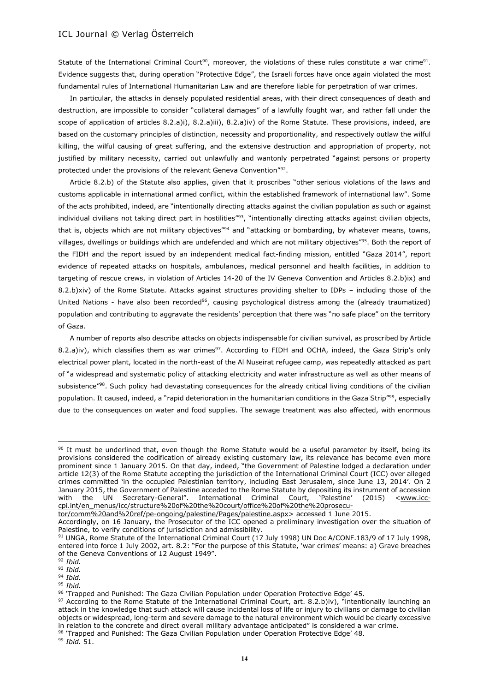Statute of the International Criminal Court<sup>90</sup>, moreover, the violations of these rules constitute a war crime<sup>91</sup>. Evidence suggests that, during operation "Protective Edge", the Israeli forces have once again violated the most fundamental rules of International Humanitarian Law and are therefore liable for perpetration of war crimes.

In particular, the attacks in densely populated residential areas, with their direct consequences of death and destruction, are impossible to consider "collateral damages" of a lawfully fought war, and rather fall under the scope of application of articles 8.2.a)i), 8.2.a)iii), 8.2.a)iv) of the Rome Statute. These provisions, indeed, are based on the customary principles of distinction, necessity and proportionality, and respectively outlaw the wilful killing, the wilful causing of great suffering, and the extensive destruction and appropriation of property, not justified by military necessity, carried out unlawfully and wantonly perpetrated "against persons or property protected under the provisions of the relevant Geneva Convention"<sup>92</sup>.

Article 8.2.b) of the Statute also applies, given that it proscribes "other serious violations of the laws and customs applicable in international armed conflict, within the established framework of international law". Some of the acts prohibited, indeed, are "intentionally directing attacks against the civilian population as such or against individual civilians not taking direct part in hostilities"<sup>3</sup>, "intentionally directing attacks against civilian objects, that is, objects which are not military objectives"<sup>94</sup> and "attacking or bombarding, by whatever means, towns, villages, dwellings or buildings which are undefended and which are not military objectives"<sup>95</sup> . Both the report of the FIDH and the report issued by an independent medical fact-finding mission, entitled "Gaza 2014", report evidence of repeated attacks on hospitals, ambulances, medical personnel and health facilities, in addition to targeting of rescue crews, in violation of Articles 14-20 of the IV Geneva Convention and Articles 8.2.b)ix) and 8.2.b)xiv) of the Rome Statute. Attacks against structures providing shelter to IDPs – including those of the United Nations - have also been recorded<sup>96</sup>, causing psychological distress among the (already traumatized) population and contributing to aggravate the residents' perception that there was "no safe place" on the territory of Gaza.

A number of reports also describe attacks on objects indispensable for civilian survival, as proscribed by Article 8.2.a)iv), which classifies them as war crimes<sup>97</sup>. According to FIDH and OCHA, indeed, the Gaza Strip's only electrical power plant, located in the north-east of the Al Nuseirat refugee camp, was repeatedly attacked as part of "a widespread and systematic policy of attacking electricity and water infrastructure as well as other means of subsistence"<sup>98</sup>. Such policy had devastating consequences for the already critical living conditions of the civilian population. It caused, indeed, a "rapid deterioration in the humanitarian conditions in the Gaza Strip"<sup>99</sup>, especially due to the consequences on water and food supplies. The sewage treatment was also affected, with enormous

[tor/comm%20and%20ref/pe-ongoing/palestine/Pages/palestine.aspx>](http://www.icc-cpi.int/en_menus/icc/structure%20of%20the%20court/office%20of%20the%20prosecutor/comm%20and%20ref/pe-ongoing/palestine/Pages/palestine.aspx) accessed 1 June 2015.

 $\overline{a}$ 

<sup>95</sup> *Ibid.*

<sup>99</sup> *Ibid.* 51.

<sup>90</sup> It must be underlined that, even though the Rome Statute would be a useful parameter by itself, being its provisions considered the codification of already existing customary law, its relevance has become even more prominent since 1 January 2015. On that day, indeed, "the Government of Palestine lodged a declaration under article 12(3) of the Rome Statute accepting the jurisdiction of the International Criminal Court (ICC) over alleged crimes committed 'in the occupied Palestinian territory, including East Jerusalem, since June 13, 2014'. On 2 January 2015, the Government of Palestine acceded to the Rome Statute by depositing its instrument of accession with the UN Secretary-General". International Criminal Court, 'Palestine' (2015) <[www.icc](http://www.icc-cpi.int/en_menus/icc/structure%20of%20the%20court/office%20of%20the%20prosecutor/comm%20and%20ref/pe-ongoing/palestine/Pages/palestine.aspx)[cpi.int/en\\_menus/icc/structure%20of%20the%20court/office%20of%20the%20prosecu-](http://www.icc-cpi.int/en_menus/icc/structure%20of%20the%20court/office%20of%20the%20prosecutor/comm%20and%20ref/pe-ongoing/palestine/Pages/palestine.aspx)

Accordingly, on 16 January, the Prosecutor of the ICC opened a preliminary investigation over the situation of Palestine, to verify conditions of jurisdiction and admissibility.

<sup>91</sup> UNGA, Rome Statute of the International Criminal Court (17 July 1998) UN Doc A/CONF.183/9 of 17 July 1998, entered into force 1 July 2002, art. 8.2: "For the purpose of this Statute, 'war crimes' means: a) Grave breaches of the Geneva Conventions of 12 August 1949".

<sup>92</sup> *Ibid.*

<sup>93</sup> *Ibid.* <sup>94</sup> *Ibid.*

<sup>96 &#</sup>x27;Trapped and Punished: The Gaza Civilian Population under Operation Protective Edge' 45.

 $97$  According to the Rome Statute of the International Criminal Court, art. 8.2.b)iv), "intentionally launching an attack in the knowledge that such attack will cause incidental loss of life or injury to civilians or damage to civilian objects or widespread, long-term and severe damage to the natural environment which would be clearly excessive in relation to the concrete and direct overall military advantage anticipated" is considered a war crime.

<sup>98 &#</sup>x27;Trapped and Punished: The Gaza Civilian Population under Operation Protective Edge' 48.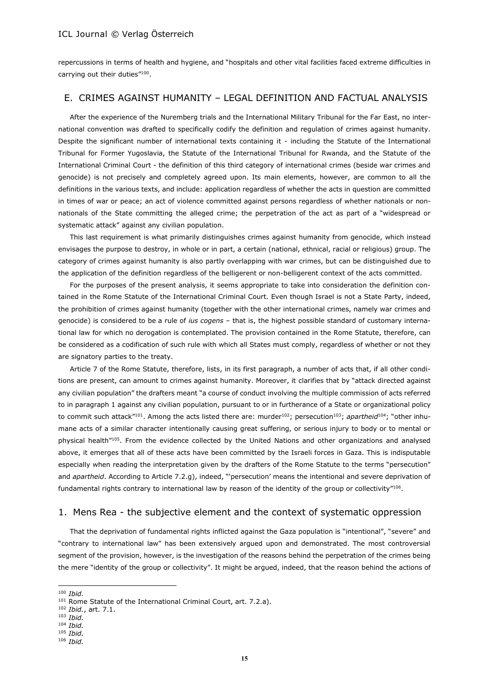repercussions in terms of health and hygiene, and "hospitals and other vital facilities faced extreme difficulties in carrying out their duties"<sup>100</sup>.

## E. CRIMES AGAINST HUMANITY – LEGAL DEFINITION AND FACTUAL ANALYSIS

After the experience of the Nuremberg trials and the International Military Tribunal for the Far East, no international convention was drafted to specifically codify the definition and regulation of crimes against humanity. Despite the significant number of international texts containing it - including the Statute of the International Tribunal for Former Yugoslavia, the Statute of the International Tribunal for Rwanda, and the Statute of the International Criminal Court - the definition of this third category of international crimes (beside war crimes and genocide) is not precisely and completely agreed upon. Its main elements, however, are common to all the definitions in the various texts, and include: application regardless of whether the acts in question are committed in times of war or peace; an act of violence committed against persons regardless of whether nationals or nonnationals of the State committing the alleged crime; the perpetration of the act as part of a "widespread or systematic attack" against any civilian population.

This last requirement is what primarily distinguishes crimes against humanity from genocide, which instead envisages the purpose to destroy, in whole or in part, a certain (national, ethnical, racial or religious) group. The category of crimes against humanity is also partly overlapping with war crimes, but can be distinguished due to the application of the definition regardless of the belligerent or non-belligerent context of the acts committed.

For the purposes of the present analysis, it seems appropriate to take into consideration the definition contained in the Rome Statute of the International Criminal Court. Even though Israel is not a State Party, indeed, the prohibition of crimes against humanity (together with the other international crimes, namely war crimes and genocide) is considered to be a rule of *ius cogens* – that is, the highest possible standard of customary international law for which no derogation is contemplated. The provision contained in the Rome Statute, therefore, can be considered as a codification of such rule with which all States must comply, regardless of whether or not they are signatory parties to the treaty.

Article 7 of the Rome Statute, therefore, lists, in its first paragraph, a number of acts that, if all other conditions are present, can amount to crimes against humanity. Moreover, it clarifies that by "attack directed against any civilian population" the drafters meant "a course of conduct involving the multiple commission of acts referred to in paragraph 1 against any civilian population, pursuant to or in furtherance of a State or organizational policy to commit such attack"<sup>101</sup>. Among the acts listed there are: murder<sup>102</sup>; persecution<sup>103</sup>; *apartheid*<sup>104</sup>; "other inhumane acts of a similar character intentionally causing great suffering, or serious injury to body or to mental or physical health<sup>"105</sup>. From the evidence collected by the United Nations and other organizations and analysed above, it emerges that all of these acts have been committed by the Israeli forces in Gaza. This is indisputable especially when reading the interpretation given by the drafters of the Rome Statute to the terms "persecution" and *apartheid*. According to Article 7.2.g), indeed, "'persecution' means the intentional and severe deprivation of fundamental rights contrary to international law by reason of the identity of the group or collectivity"106.

#### 1. Mens Rea - the subjective element and the context of systematic oppression

That the deprivation of fundamental rights inflicted against the Gaza population is "intentional", "severe" and "contrary to international law" has been extensively argued upon and demonstrated. The most controversial segment of the provision, however, is the investigation of the reasons behind the perpetration of the crimes being the mere "identity of the group or collectivity". It might be argued, indeed, that the reason behind the actions of

- <sup>103</sup> *Ibid.*
- <sup>104</sup> *Ibid.*
- <sup>105</sup> *Ibid.*

<sup>100</sup> *Ibid.*

<sup>101</sup> Rome Statute of the International Criminal Court, art. 7.2.a).

<sup>102</sup> *Ibid.*, art. 7.1.

<sup>106</sup> *Ibid.*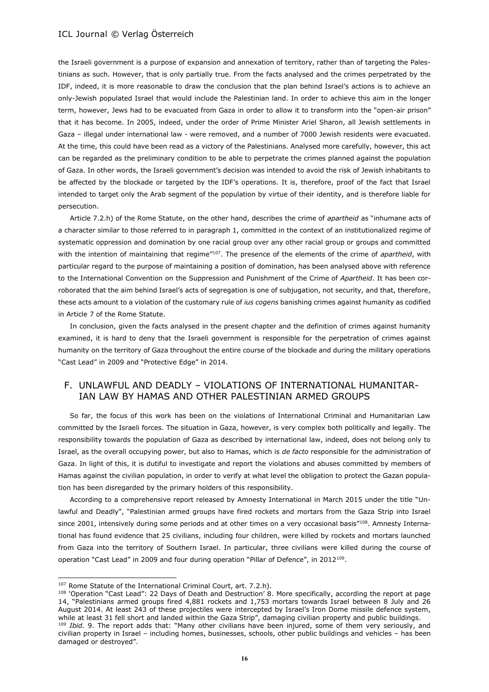the Israeli government is a purpose of expansion and annexation of territory, rather than of targeting the Palestinians as such. However, that is only partially true. From the facts analysed and the crimes perpetrated by the IDF, indeed, it is more reasonable to draw the conclusion that the plan behind Israel's actions is to achieve an only-Jewish populated Israel that would include the Palestinian land. In order to achieve this aim in the longer term, however, Jews had to be evacuated from Gaza in order to allow it to transform into the "open-air prison" that it has become. In 2005, indeed, under the order of Prime Minister Ariel Sharon, all Jewish settlements in Gaza – illegal under international law - were removed, and a number of 7000 Jewish residents were evacuated. At the time, this could have been read as a victory of the Palestinians. Analysed more carefully, however, this act can be regarded as the preliminary condition to be able to perpetrate the crimes planned against the population of Gaza. In other words, the Israeli government's decision was intended to avoid the risk of Jewish inhabitants to be affected by the blockade or targeted by the IDF's operations. It is, therefore, proof of the fact that Israel intended to target only the Arab segment of the population by virtue of their identity, and is therefore liable for persecution.

Article 7.2.h) of the Rome Statute, on the other hand, describes the crime of *apartheid* as "inhumane acts of a character similar to those referred to in paragraph 1, committed in the context of an institutionalized regime of systematic oppression and domination by one racial group over any other racial group or groups and committed with the intention of maintaining that regime<sup>"107</sup>. The presence of the elements of the crime of *apartheid*, with particular regard to the purpose of maintaining a position of domination, has been analysed above with reference to the International Convention on the Suppression and Punishment of the Crime of *Apartheid*. It has been corroborated that the aim behind Israel's acts of segregation is one of subjugation, not security, and that, therefore, these acts amount to a violation of the customary rule of *ius cogens* banishing crimes against humanity as codified in Article 7 of the Rome Statute.

In conclusion, given the facts analysed in the present chapter and the definition of crimes against humanity examined, it is hard to deny that the Israeli government is responsible for the perpetration of crimes against humanity on the territory of Gaza throughout the entire course of the blockade and during the military operations "Cast Lead" in 2009 and "Protective Edge" in 2014.

## F. UNLAWFUL AND DEADLY – VIOLATIONS OF INTERNATIONAL HUMANITAR-IAN LAW BY HAMAS AND OTHER PALESTINIAN ARMED GROUPS

So far, the focus of this work has been on the violations of International Criminal and Humanitarian Law committed by the Israeli forces. The situation in Gaza, however, is very complex both politically and legally. The responsibility towards the population of Gaza as described by international law, indeed, does not belong only to Israel, as the overall occupying power, but also to Hamas, which is *de facto* responsible for the administration of Gaza. In light of this, it is dutiful to investigate and report the violations and abuses committed by members of Hamas against the civilian population, in order to verify at what level the obligation to protect the Gazan population has been disregarded by the primary holders of this responsibility.

According to a comprehensive report released by Amnesty International in March 2015 under the title "Unlawful and Deadly", "Palestinian armed groups have fired rockets and mortars from the Gaza Strip into Israel since 2001, intensively during some periods and at other times on a very occasional basis"<sup>108</sup>. Amnesty International has found evidence that 25 civilians, including four children, were killed by rockets and mortars launched from Gaza into the territory of Southern Israel. In particular, three civilians were killed during the course of operation "Cast Lead" in 2009 and four during operation "Pillar of Defence", in 2012<sup>109</sup>.

<sup>&</sup>lt;sup>107</sup> Rome Statute of the International Criminal Court, art. 7.2.h).

<sup>108 &#</sup>x27;Operation "Cast Lead": 22 Days of Death and Destruction' 8. More specifically, according the report at page 14, "Palestinians armed groups fired 4,881 rockets and 1,753 mortars towards Israel between 8 July and 26 August 2014. At least 243 of these projectiles were intercepted by Israel's Iron Dome missile defence system, while at least 31 fell short and landed within the Gaza Strip", damaging civilian property and public buildings. <sup>109</sup> *Ibid.* 9. The report adds that: "Many other civilians have been injured, some of them very seriously, and

civilian property in Israel – including homes, businesses, schools, other public buildings and vehicles – has been damaged or destroyed".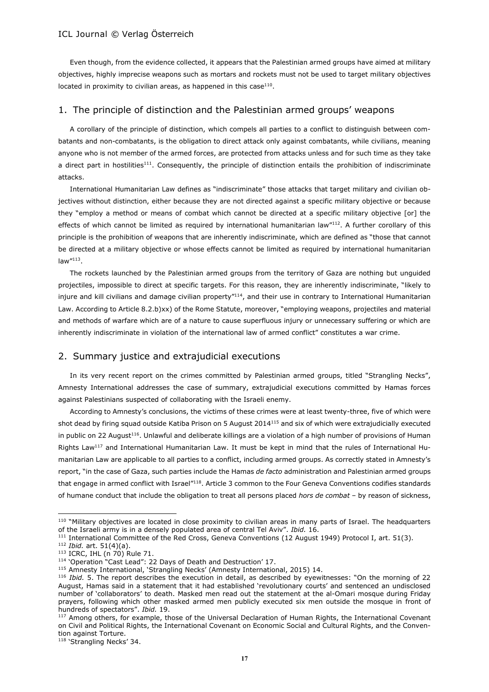Even though, from the evidence collected, it appears that the Palestinian armed groups have aimed at military objectives, highly imprecise weapons such as mortars and rockets must not be used to target military objectives located in proximity to civilian areas, as happened in this case $110$ .

#### 1. The principle of distinction and the Palestinian armed groups' weapons

A corollary of the principle of distinction, which compels all parties to a conflict to distinguish between combatants and non-combatants, is the obligation to direct attack only against combatants, while civilians, meaning anyone who is not member of the armed forces, are protected from attacks unless and for such time as they take a direct part in hostilities<sup>111</sup>. Consequently, the principle of distinction entails the prohibition of indiscriminate attacks.

International Humanitarian Law defines as "indiscriminate" those attacks that target military and civilian objectives without distinction, either because they are not directed against a specific military objective or because they "employ a method or means of combat which cannot be directed at a specific military objective [or] the effects of which cannot be limited as required by international humanitarian law"112. A further corollary of this principle is the prohibition of weapons that are inherently indiscriminate, which are defined as "those that cannot be directed at a military objective or whose effects cannot be limited as required by international humanitarian law"<sup>113</sup> .

The rockets launched by the Palestinian armed groups from the territory of Gaza are nothing but unguided projectiles, impossible to direct at specific targets. For this reason, they are inherently indiscriminate, "likely to injure and kill civilians and damage civilian property"<sup>114</sup>, and their use in contrary to International Humanitarian Law. According to Article 8.2.b)xx) of the Rome Statute, moreover, "employing weapons, projectiles and material and methods of warfare which are of a nature to cause superfluous injury or unnecessary suffering or which are inherently indiscriminate in violation of the international law of armed conflict" constitutes a war crime.

## 2. Summary justice and extrajudicial executions

In its very recent report on the crimes committed by Palestinian armed groups, titled "Strangling Necks", Amnesty International addresses the case of summary, extrajudicial executions committed by Hamas forces against Palestinians suspected of collaborating with the Israeli enemy.

According to Amnesty's conclusions, the victims of these crimes were at least twenty-three, five of which were shot dead by firing squad outside Katiba Prison on 5 August 2014<sup>115</sup> and six of which were extrajudicially executed in public on 22 August<sup>116</sup>. Unlawful and deliberate killings are a violation of a high number of provisions of Human Rights Law<sup>117</sup> and International Humanitarian Law. It must be kept in mind that the rules of International Humanitarian Law are applicable to all parties to a conflict, including armed groups. As correctly stated in Amnesty's report, "in the case of Gaza, such parties include the Hamas *de facto* administration and Palestinian armed groups that engage in armed conflict with Israel"<sup>118</sup>. Article 3 common to the Four Geneva Conventions codifies standards of humane conduct that include the obligation to treat all persons placed *hors de combat* – by reason of sickness,

<sup>&</sup>lt;sup>110</sup> "Military objectives are located in close proximity to civilian areas in many parts of Israel. The headquarters of the Israeli army is in a densely populated area of central Tel Aviv". *Ibid.* 16.

<sup>&</sup>lt;sup>111</sup> International Committee of the Red Cross, Geneva Conventions (12 August 1949) Protocol I, art. 51(3).

<sup>112</sup> *Ibid.* art. 51(4)(a).

 $113$  ICRC, IHL (n  $70$ ) Rule 71.

<sup>114 &#</sup>x27;Operation "Cast Lead": 22 Days of Death and Destruction' 17.

<sup>&</sup>lt;sup>115</sup> Amnesty International, 'Strangling Necks' (Amnesty International, 2015) 14.

<sup>116</sup> *Ibid.* 5. The report describes the execution in detail, as described by eyewitnesses: "On the morning of 22 August, Hamas said in a statement that it had established 'revolutionary courts' and sentenced an undisclosed number of 'collaborators' to death. Masked men read out the statement at the al-Omari mosque during Friday prayers, following which other masked armed men publicly executed six men outside the mosque in front of hundreds of spectators". *Ibid.* 19.

<sup>&</sup>lt;sup>117</sup> Among others, for example, those of the Universal Declaration of Human Rights, the International Covenant on Civil and Political Rights, the International Covenant on Economic Social and Cultural Rights, and the Convention against Torture.

<sup>&</sup>lt;sup>118</sup> 'Strangling Necks' 34.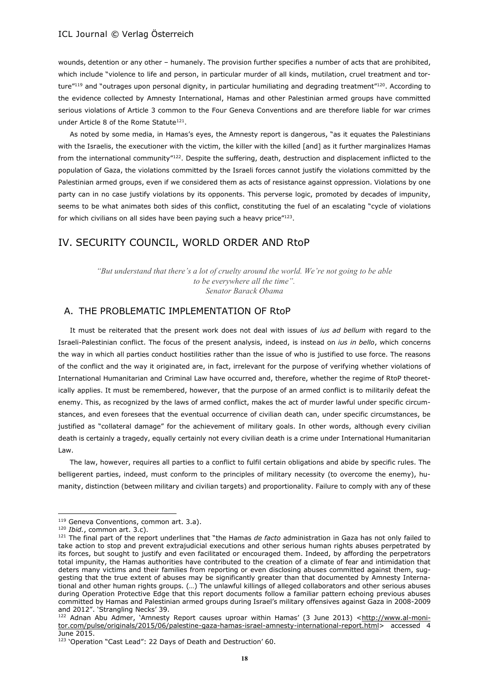wounds, detention or any other – humanely. The provision further specifies a number of acts that are prohibited, which include "violence to life and person, in particular murder of all kinds, mutilation, cruel treatment and torture"119 and "outrages upon personal dignity, in particular humiliating and degrading treatment"120. According to the evidence collected by Amnesty International, Hamas and other Palestinian armed groups have committed serious violations of Article 3 common to the Four Geneva Conventions and are therefore liable for war crimes under Article 8 of the Rome Statute<sup>121</sup>.

As noted by some media, in Hamas's eyes, the Amnesty report is dangerous, "as it equates the Palestinians with the Israelis, the executioner with the victim, the killer with the killed [and] as it further marginalizes Hamas from the international community"<sup>122</sup>. Despite the suffering, death, destruction and displacement inflicted to the population of Gaza, the violations committed by the Israeli forces cannot justify the violations committed by the Palestinian armed groups, even if we considered them as acts of resistance against oppression. Violations by one party can in no case justify violations by its opponents. This perverse logic, promoted by decades of impunity, seems to be what animates both sides of this conflict, constituting the fuel of an escalating "cycle of violations for which civilians on all sides have been paying such a heavy price"<sup>123</sup>.

# IV. SECURITY COUNCIL, WORLD ORDER AND RtoP

*"But understand that there's a lot of cruelty around the world. We're not going to be able to be everywhere all the time". Senator Barack Obama*

## A. THE PROBLEMATIC IMPLEMENTATION OF RtoP

It must be reiterated that the present work does not deal with issues of *ius ad bellum* with regard to the Israeli-Palestinian conflict. The focus of the present analysis, indeed, is instead on *ius in bello*, which concerns the way in which all parties conduct hostilities rather than the issue of who is justified to use force. The reasons of the conflict and the way it originated are, in fact, irrelevant for the purpose of verifying whether violations of International Humanitarian and Criminal Law have occurred and, therefore, whether the regime of RtoP theoretically applies. It must be remembered, however, that the purpose of an armed conflict is to militarily defeat the enemy. This, as recognized by the laws of armed conflict, makes the act of murder lawful under specific circumstances, and even foresees that the eventual occurrence of civilian death can, under specific circumstances, be justified as "collateral damage" for the achievement of military goals. In other words, although every civilian death is certainly a tragedy, equally certainly not every civilian death is a crime under International Humanitarian Law.

The law, however, requires all parties to a conflict to fulfil certain obligations and abide by specific rules. The belligerent parties, indeed, must conform to the principles of military necessity (to overcome the enemy), humanity, distinction (between military and civilian targets) and proportionality. Failure to comply with any of these

<sup>&</sup>lt;sup>119</sup> Geneva Conventions, common art. 3.a).

<sup>120</sup> *Ibid.*, common art. 3.c).

<sup>121</sup> The final part of the report underlines that "the Hamas *de facto* administration in Gaza has not only failed to take action to stop and prevent extrajudicial executions and other serious human rights abuses perpetrated by its forces, but sought to justify and even facilitated or encouraged them. Indeed, by affording the perpetrators total impunity, the Hamas authorities have contributed to the creation of a climate of fear and intimidation that deters many victims and their families from reporting or even disclosing abuses committed against them, suggesting that the true extent of abuses may be significantly greater than that documented by Amnesty International and other human rights groups. (…) The unlawful killings of alleged collaborators and other serious abuses during Operation Protective Edge that this report documents follow a familiar pattern echoing previous abuses committed by Hamas and Palestinian armed groups during Israel's military offensives against Gaza in 2008-2009 and 2012". 'Strangling Necks' 39.

<sup>122</sup> Adnan Abu Admer, 'Amnesty Report causes uproar within Hamas' (3 June 2013) <http://www.al-monitor.com/pulse/originals/2015/06/palestine-gaza-hamas-israel-amnesty-international-report.html> accessed 4 June 2015.

<sup>123 &#</sup>x27;Operation "Cast Lead": 22 Days of Death and Destruction' 60.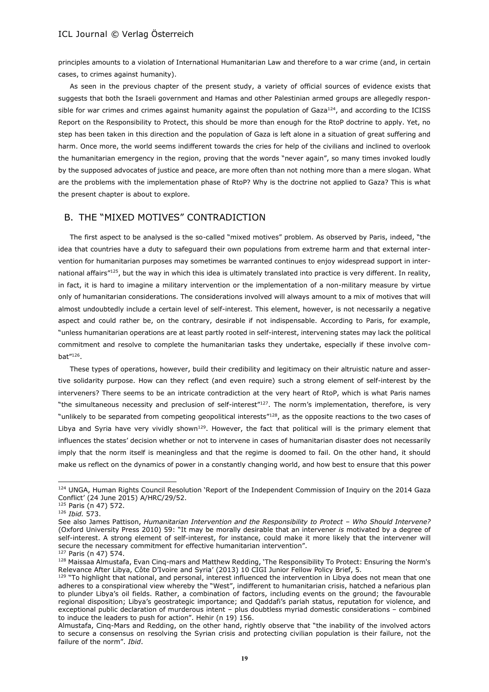principles amounts to a violation of International Humanitarian Law and therefore to a war crime (and, in certain cases, to crimes against humanity).

As seen in the previous chapter of the present study, a variety of official sources of evidence exists that suggests that both the Israeli government and Hamas and other Palestinian armed groups are allegedly responsible for war crimes and crimes against humanity against the population of Gaza $124$ , and according to the ICISS Report on the Responsibility to Protect, this should be more than enough for the RtoP doctrine to apply. Yet, no step has been taken in this direction and the population of Gaza is left alone in a situation of great suffering and harm. Once more, the world seems indifferent towards the cries for help of the civilians and inclined to overlook the humanitarian emergency in the region, proving that the words "never again", so many times invoked loudly by the supposed advocates of justice and peace, are more often than not nothing more than a mere slogan. What are the problems with the implementation phase of RtoP? Why is the doctrine not applied to Gaza? This is what the present chapter is about to explore.

## B. THE "MIXED MOTIVES" CONTRADICTION

The first aspect to be analysed is the so-called "mixed motives" problem. As observed by Paris, indeed, "the idea that countries have a duty to safeguard their own populations from extreme harm and that external intervention for humanitarian purposes may sometimes be warranted continues to enjoy widespread support in international affairs"125, but the way in which this idea is ultimately translated into practice is very different. In reality, in fact, it is hard to imagine a military intervention or the implementation of a non-military measure by virtue only of humanitarian considerations. The considerations involved will always amount to a mix of motives that will almost undoubtedly include a certain level of self-interest. This element, however, is not necessarily a negative aspect and could rather be, on the contrary, desirable if not indispensable. According to Paris, for example, "unless humanitarian operations are at least partly rooted in self-interest, intervening states may lack the political commitment and resolve to complete the humanitarian tasks they undertake, especially if these involve combat"<sup>126</sup>.

These types of operations, however, build their credibility and legitimacy on their altruistic nature and assertive solidarity purpose. How can they reflect (and even require) such a strong element of self-interest by the interveners? There seems to be an intricate contradiction at the very heart of RtoP, which is what Paris names "the simultaneous necessity and preclusion of self-interest"<sup>127</sup>. The norm's implementation, therefore, is very "unlikely to be separated from competing geopolitical interests"<sup>128</sup>, as the opposite reactions to the two cases of Libya and Syria have very vividly shown<sup>129</sup>. However, the fact that political will is the primary element that influences the states' decision whether or not to intervene in cases of humanitarian disaster does not necessarily imply that the norm itself is meaningless and that the regime is doomed to fail. On the other hand, it should make us reflect on the dynamics of power in a constantly changing world, and how best to ensure that this power

<sup>124</sup> UNGA, Human Rights Council Resolution 'Report of the Independent Commission of Inquiry on the 2014 Gaza Conflict' (24 June 2015) A/HRC/29/52.

<sup>125</sup> Paris (n 47) 572.

<sup>126</sup> *Ibid.* 573.

See also James Pattison, *Humanitarian Intervention and the Responsibility to Protect - Who Should Intervene?* (Oxford University Press 2010) 59: "It may be morally desirable that an intervener *is* motivated by a degree of self-interest. A strong element of self-interest, for instance, could make it more likely that the intervener will secure the necessary commitment for effective humanitarian intervention".

<sup>127</sup> Paris (n 47) 574.

<sup>128</sup> Maissaa Almustafa, Evan Cinq-mars and Matthew Redding, 'The Responsibility To Protect: Ensuring the Norm's Relevance After Libya, Côte D'Ivoire and Syria' (2013) 10 CIGI Junior Fellow Policy Brief, 5.

<sup>&</sup>lt;sup>129</sup> "To highlight that national, and personal, interest influenced the intervention in Libya does not mean that one adheres to a conspirational view whereby the "West", indifferent to humanitarian crisis, hatched a nefarious plan to plunder Libya's oil fields. Rather, a combination of factors, including events on the ground; the favourable regional disposition; Libya's geostrategic importance; and Qaddafi's pariah status, reputation for violence, and exceptional public declaration of murderous intent – plus doubtless myriad domestic considerations – combined to induce the leaders to push for action". Hehir (n 19) 156.

Almustafa, Cinq-Mars and Redding, on the other hand, rightly observe that "the inability of the involved actors to secure a consensus on resolving the Syrian crisis and protecting civilian population is their failure, not the failure of the norm". *Ibid*.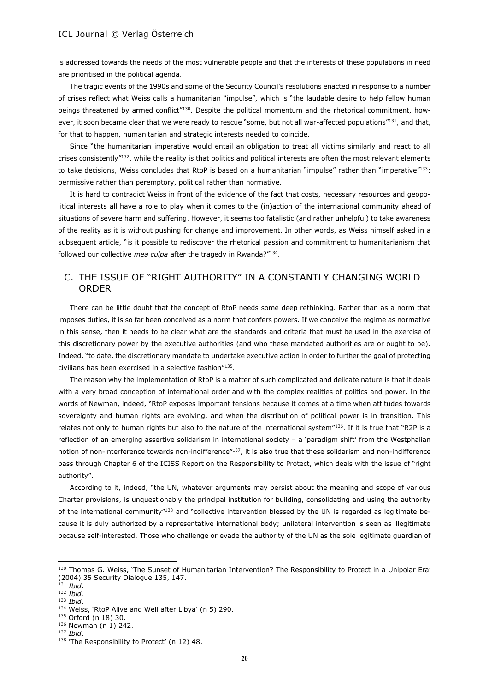is addressed towards the needs of the most vulnerable people and that the interests of these populations in need are prioritised in the political agenda.

The tragic events of the 1990s and some of the Security Council's resolutions enacted in response to a number of crises reflect what Weiss calls a humanitarian "impulse", which is "the laudable desire to help fellow human beings threatened by armed conflict"<sup>130</sup>. Despite the political momentum and the rhetorical commitment, however, it soon became clear that we were ready to rescue "some, but not all war-affected populations"<sup>131</sup>, and that, for that to happen, humanitarian and strategic interests needed to coincide.

Since "the humanitarian imperative would entail an obligation to treat all victims similarly and react to all crises consistently"<sup>132</sup>, while the reality is that politics and political interests are often the most relevant elements to take decisions, Weiss concludes that RtoP is based on a humanitarian "impulse" rather than "imperative"133: permissive rather than peremptory, political rather than normative.

It is hard to contradict Weiss in front of the evidence of the fact that costs, necessary resources and geopolitical interests all have a role to play when it comes to the (in)action of the international community ahead of situations of severe harm and suffering. However, it seems too fatalistic (and rather unhelpful) to take awareness of the reality as it is without pushing for change and improvement. In other words, as Weiss himself asked in a subsequent article, "is it possible to rediscover the rhetorical passion and commitment to humanitarianism that followed our collective *mea culpa* after the tragedy in Rwanda?"<sup>134</sup>.

# C. THE ISSUE OF "RIGHT AUTHORITY" IN A CONSTANTLY CHANGING WORLD ORDER

There can be little doubt that the concept of RtoP needs some deep rethinking. Rather than as a norm that imposes duties, it is so far been conceived as a norm that confers powers. If we conceive the regime as normative in this sense, then it needs to be clear what are the standards and criteria that must be used in the exercise of this discretionary power by the executive authorities (and who these mandated authorities are or ought to be). Indeed, "to date, the discretionary mandate to undertake executive action in order to further the goal of protecting civilians has been exercised in a selective fashion"<sup>135</sup> .

The reason why the implementation of RtoP is a matter of such complicated and delicate nature is that it deals with a very broad conception of international order and with the complex realities of politics and power. In the words of Newman, indeed, "RtoP exposes important tensions because it comes at a time when attitudes towards sovereignty and human rights are evolving, and when the distribution of political power is in transition. This relates not only to human rights but also to the nature of the international system"136. If it is true that "R2P is a reflection of an emerging assertive solidarism in international society – a 'paradigm shift' from the Westphalian notion of non-interference towards non-indifference"<sup>137</sup>, it is also true that these solidarism and non-indifference pass through Chapter 6 of the ICISS Report on the Responsibility to Protect, which deals with the issue of "right authority".

According to it, indeed, "the UN, whatever arguments may persist about the meaning and scope of various Charter provisions, is unquestionably the principal institution for building, consolidating and using the authority of the international community"<sup>138</sup> and "collective intervention blessed by the UN is regarded as legitimate because it is duly authorized by a representative international body; unilateral intervention is seen as illegitimate because self-interested. Those who challenge or evade the authority of the UN as the sole legitimate guardian of

<sup>130</sup> Thomas G. Weiss, 'The Sunset of Humanitarian Intervention? The Responsibility to Protect in a Unipolar Era' (2004) 35 Security Dialogue 135, 147.

<sup>131</sup> *Ibid*.

<sup>132</sup> *Ibid.* <sup>133</sup> *Ibid*.

<sup>134</sup> Weiss, 'RtoP Alive and Well after Libya' (n 5) 290.

<sup>135</sup> Orford (n 18) 30.

 $136$  Newman (n 1) 242.

<sup>137</sup> *Ibid*.

<sup>138 &#</sup>x27;The Responsibility to Protect' (n 12) 48.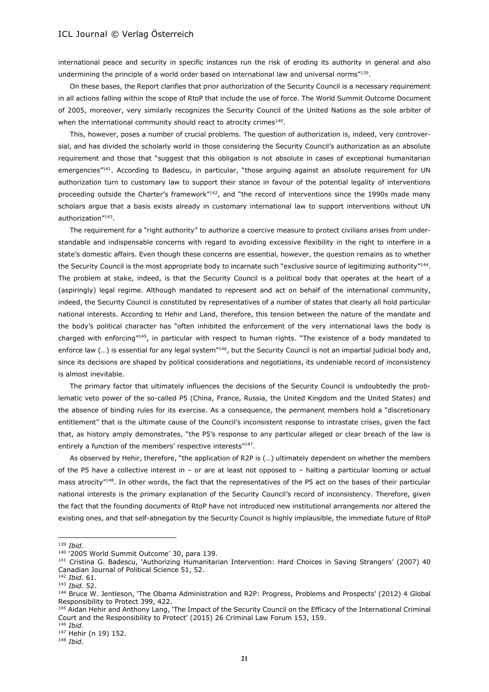international peace and security in specific instances run the risk of eroding its authority in general and also undermining the principle of a world order based on international law and universal norms"139.

On these bases, the Report clarifies that prior authorization of the Security Council is a necessary requirement in all actions falling within the scope of RtoP that include the use of force. The World Summit Outcome Document of 2005, moreover, very similarly recognizes the Security Council of the United Nations as the sole arbiter of when the international community should react to atrocity crimes $140$ .

This, however, poses a number of crucial problems. The question of authorization is, indeed, very controversial, and has divided the scholarly world in those considering the Security Council's authorization as an absolute requirement and those that "suggest that this obligation is not absolute in cases of exceptional humanitarian emergencies"<sup>141</sup>. According to Badescu, in particular, "those arguing against an absolute requirement for UN authorization turn to customary law to support their stance in favour of the potential legality of interventions proceeding outside the Charter's framework"<sup>142</sup>, and "the record of interventions since the 1990s made many scholars argue that a basis exists already in customary international law to support interventions without UN authorization"<sup>143</sup> .

The requirement for a "right authority" to authorize a coercive measure to protect civilians arises from understandable and indispensable concerns with regard to avoiding excessive flexibility in the right to interfere in a state's domestic affairs. Even though these concerns are essential, however, the question remains as to whether the Security Council is the most appropriate body to incarnate such "exclusive source of legitimizing authority"<sup>144</sup>. The problem at stake, indeed, is that the Security Council is a political body that operates at the heart of a (aspiringly) legal regime. Although mandated to represent and act on behalf of the international community, indeed, the Security Council is constituted by representatives of a number of states that clearly all hold particular national interests. According to Hehir and Land, therefore, this tension between the nature of the mandate and the body's political character has "often inhibited the enforcement of the very international laws the body is charged with enforcing"<sup>145</sup>, in particular with respect to human rights. "The existence of a body mandated to enforce law (...) is essential for any legal system"<sup>146</sup>, but the Security Council is not an impartial judicial body and, since its decisions are shaped by political considerations and negotiations, its undeniable record of inconsistency is almost inevitable.

The primary factor that ultimately influences the decisions of the Security Council is undoubtedly the problematic veto power of the so-called P5 (China, France, Russia, the United Kingdom and the United States) and the absence of binding rules for its exercise. As a consequence, the permanent members hold a "discretionary entitlement" that is the ultimate cause of the Council's inconsistent response to intrastate crises, given the fact that, as history amply demonstrates, "the P5's response to any particular alleged or clear breach of the law is entirely a function of the members' respective interests"<sup>147</sup>.

As observed by Hehir, therefore, "the application of R2P is (…) ultimately dependent on whether the members of the P5 have a collective interest in – or are at least not opposed to – halting a particular looming or actual mass atrocity"<sup>148</sup>. In other words, the fact that the representatives of the P5 act on the bases of their particular national interests is the primary explanation of the Security Council's record of inconsistency. Therefore, given the fact that the founding documents of RtoP have not introduced new institutional arrangements nor altered the existing ones, and that self-abnegation by the Security Council is highly implausible, the immediate future of RtoP

<sup>139</sup> *Ibid.*

<sup>140</sup> '2005 World Summit Outcome' 30, para 139.

<sup>&</sup>lt;sup>141</sup> Cristina G. Badescu, 'Authorizing Humanitarian Intervention: Hard Choices in Saving Strangers' (2007) 40 Canadian Journal of Political Science 51, 52.

<sup>142</sup> *Ibid.* 61.

<sup>143</sup> *Ibid.* 52.

<sup>&</sup>lt;sup>144</sup> Bruce W. Jentleson, 'The Obama Administration and R2P: Progress, Problems and Prospects' (2012) 4 Global Responsibility to Protect 399, 422.

<sup>&</sup>lt;sup>145</sup> Aidan Hehir and Anthony Lang, 'The Impact of the Security Council on the Efficacy of the International Criminal Court and the Responsibility to Protect' (2015) 26 Criminal Law Forum 153, 159. <sup>146</sup> *Ibid.*

<sup>147</sup> Hehir (n 19) 152.

<sup>148</sup> *Ibid.*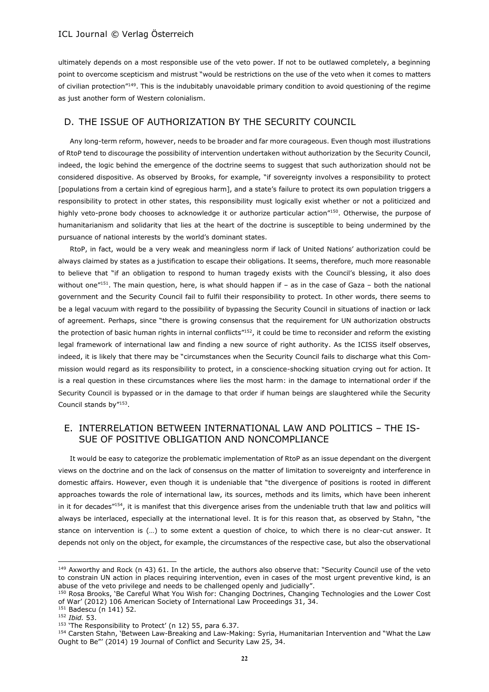ultimately depends on a most responsible use of the veto power. If not to be outlawed completely, a beginning point to overcome scepticism and mistrust "would be restrictions on the use of the veto when it comes to matters of civilian protection"<sup>149</sup>. This is the indubitably unavoidable primary condition to avoid questioning of the regime as just another form of Western colonialism.

## D. THE ISSUE OF AUTHORIZATION BY THE SECURITY COUNCIL

Any long-term reform, however, needs to be broader and far more courageous. Even though most illustrations of RtoP tend to discourage the possibility of intervention undertaken without authorization by the Security Council, indeed, the logic behind the emergence of the doctrine seems to suggest that such authorization should not be considered dispositive. As observed by Brooks, for example, "if sovereignty involves a responsibility to protect [populations from a certain kind of egregious harm], and a state's failure to protect its own population triggers a responsibility to protect in other states, this responsibility must logically exist whether or not a politicized and highly veto-prone body chooses to acknowledge it or authorize particular action<sup>"150</sup>. Otherwise, the purpose of humanitarianism and solidarity that lies at the heart of the doctrine is susceptible to being undermined by the pursuance of national interests by the world's dominant states.

RtoP, in fact, would be a very weak and meaningless norm if lack of United Nations' authorization could be always claimed by states as a justification to escape their obligations. It seems, therefore, much more reasonable to believe that "if an obligation to respond to human tragedy exists with the Council's blessing, it also does without one<sup>"151</sup>. The main question, here, is what should happen if - as in the case of Gaza - both the national government and the Security Council fail to fulfil their responsibility to protect. In other words, there seems to be a legal vacuum with regard to the possibility of bypassing the Security Council in situations of inaction or lack of agreement. Perhaps, since "there is growing consensus that the requirement for UN authorization obstructs the protection of basic human rights in internal conflicts"<sup>152</sup>, it could be time to reconsider and reform the existing legal framework of international law and finding a new source of right authority. As the ICISS itself observes, indeed, it is likely that there may be "circumstances when the Security Council fails to discharge what this Commission would regard as its responsibility to protect, in a conscience-shocking situation crying out for action. It is a real question in these circumstances where lies the most harm: in the damage to international order if the Security Council is bypassed or in the damage to that order if human beings are slaughtered while the Security Council stands by"<sup>153</sup>.

## E. INTERRELATION BETWEEN INTERNATIONAL LAW AND POLITICS – THE IS-SUE OF POSITIVE OBLIGATION AND NONCOMPLIANCE

It would be easy to categorize the problematic implementation of RtoP as an issue dependant on the divergent views on the doctrine and on the lack of consensus on the matter of limitation to sovereignty and interference in domestic affairs. However, even though it is undeniable that "the divergence of positions is rooted in different approaches towards the role of international law, its sources, methods and its limits, which have been inherent in it for decades"<sup>154</sup>, it is manifest that this divergence arises from the undeniable truth that law and politics will always be interlaced, especially at the international level. It is for this reason that, as observed by Stahn, "the stance on intervention is (…) to some extent a question of choice, to which there is no clear-cut answer. It depends not only on the object, for example, the circumstances of the respective case, but also the observational

<sup>152</sup> *Ibid.* 53.

<sup>&</sup>lt;sup>149</sup> Axworthy and Rock (n 43) 61. In the article, the authors also observe that: "Security Council use of the veto to constrain UN action in places requiring intervention, even in cases of the most urgent preventive kind, is an abuse of the veto privilege and needs to be challenged openly and judicially".

<sup>150</sup> Rosa Brooks, 'Be Careful What You Wish for: Changing Doctrines, Changing Technologies and the Lower Cost of War' (2012) 106 American Society of International Law Proceedings 31, 34. 151 Badescu (n 141) 52.

<sup>&</sup>lt;sup>153</sup> 'The Responsibility to Protect' (n 12) 55, para 6.37.

<sup>154</sup> Carsten Stahn, 'Between Law-Breaking and Law-Making: Syria, Humanitarian Intervention and "What the Law Ought to Be"' (2014) 19 Journal of Conflict and Security Law 25, 34.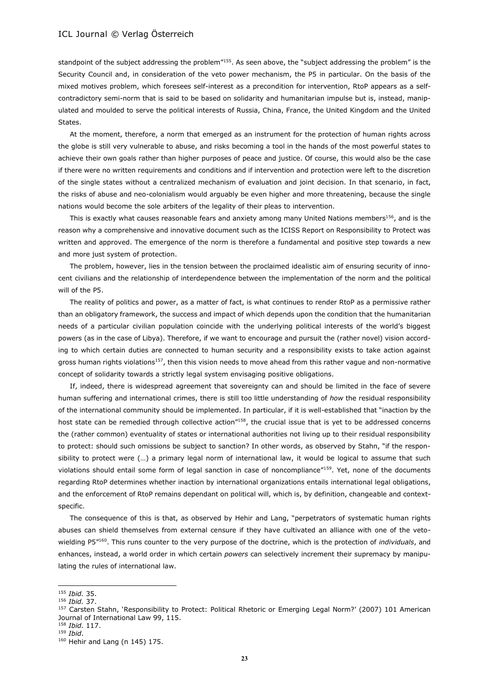standpoint of the subject addressing the problem<sup>"155</sup>. As seen above, the "subject addressing the problem" is the Security Council and, in consideration of the veto power mechanism, the P5 in particular. On the basis of the mixed motives problem, which foresees self-interest as a precondition for intervention, RtoP appears as a selfcontradictory semi-norm that is said to be based on solidarity and humanitarian impulse but is, instead, manipulated and moulded to serve the political interests of Russia, China, France, the United Kingdom and the United States.

At the moment, therefore, a norm that emerged as an instrument for the protection of human rights across the globe is still very vulnerable to abuse, and risks becoming a tool in the hands of the most powerful states to achieve their own goals rather than higher purposes of peace and justice. Of course, this would also be the case if there were no written requirements and conditions and if intervention and protection were left to the discretion of the single states without a centralized mechanism of evaluation and joint decision. In that scenario, in fact, the risks of abuse and neo-colonialism would arguably be even higher and more threatening, because the single nations would become the sole arbiters of the legality of their pleas to intervention.

This is exactly what causes reasonable fears and anxiety among many United Nations members<sup>156</sup>, and is the reason why a comprehensive and innovative document such as the ICISS Report on Responsibility to Protect was written and approved. The emergence of the norm is therefore a fundamental and positive step towards a new and more just system of protection.

The problem, however, lies in the tension between the proclaimed idealistic aim of ensuring security of innocent civilians and the relationship of interdependence between the implementation of the norm and the political will of the P5.

The reality of politics and power, as a matter of fact, is what continues to render RtoP as a permissive rather than an obligatory framework, the success and impact of which depends upon the condition that the humanitarian needs of a particular civilian population coincide with the underlying political interests of the world's biggest powers (as in the case of Libya). Therefore, if we want to encourage and pursuit the (rather novel) vision according to which certain duties are connected to human security and a responsibility exists to take action against gross human rights violations<sup>157</sup>, then this vision needs to move ahead from this rather vague and non-normative concept of solidarity towards a strictly legal system envisaging positive obligations.

If, indeed, there is widespread agreement that sovereignty can and should be limited in the face of severe human suffering and international crimes, there is still too little understanding of *how* the residual responsibility of the international community should be implemented. In particular, if it is well-established that "inaction by the host state can be remedied through collective action"<sup>158</sup>, the crucial issue that is yet to be addressed concerns the (rather common) eventuality of states or international authorities not living up to their residual responsibility to protect: should such omissions be subject to sanction? In other words, as observed by Stahn, "if the responsibility to protect were (…) a primary legal norm of international law, it would be logical to assume that such violations should entail some form of legal sanction in case of noncompliance"<sup>159</sup>. Yet, none of the documents regarding RtoP determines whether inaction by international organizations entails international legal obligations, and the enforcement of RtoP remains dependant on political will, which is, by definition, changeable and contextspecific.

The consequence of this is that, as observed by Hehir and Lang, "perpetrators of systematic human rights abuses can shield themselves from external censure if they have cultivated an alliance with one of the vetowielding P5"<sup>160</sup>. This runs counter to the very purpose of the doctrine, which is the protection of *individuals*, and enhances, instead, a world order in which certain *powers* can selectively increment their supremacy by manipulating the rules of international law.

<sup>155</sup> *Ibid.* 35.

<sup>156</sup> *Ibid.* 37.

<sup>&</sup>lt;sup>157</sup> Carsten Stahn, 'Responsibility to Protect: Political Rhetoric or Emerging Legal Norm?' (2007) 101 American Journal of International Law 99, 115.

<sup>158</sup> *Ibid.* 117.

<sup>159</sup> *Ibid*.

<sup>160</sup> Hehir and Lang (n 145) 175.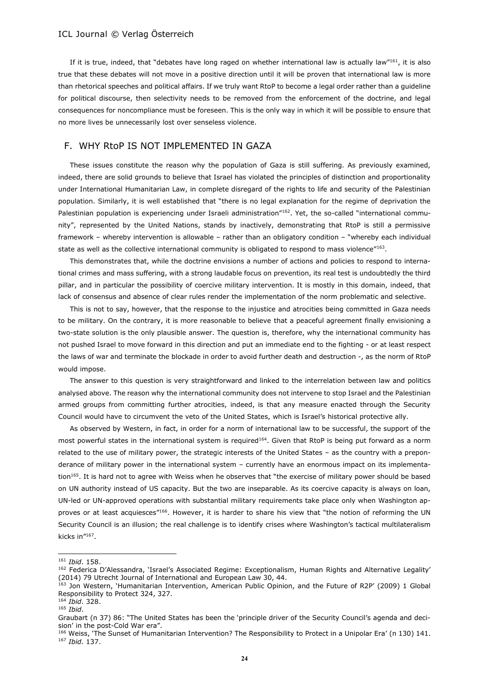If it is true, indeed, that "debates have long raged on whether international law is actually law"<sup>161</sup>, it is also true that these debates will not move in a positive direction until it will be proven that international law is more than rhetorical speeches and political affairs. If we truly want RtoP to become a legal order rather than a guideline for political discourse, then selectivity needs to be removed from the enforcement of the doctrine, and legal consequences for noncompliance must be foreseen. This is the only way in which it will be possible to ensure that no more lives be unnecessarily lost over senseless violence.

## F. WHY RtoP IS NOT IMPLEMENTED IN GAZA

These issues constitute the reason why the population of Gaza is still suffering. As previously examined, indeed, there are solid grounds to believe that Israel has violated the principles of distinction and proportionality under International Humanitarian Law, in complete disregard of the rights to life and security of the Palestinian population. Similarly, it is well established that "there is no legal explanation for the regime of deprivation the Palestinian population is experiencing under Israeli administration"162. Yet, the so-called "international community", represented by the United Nations, stands by inactively, demonstrating that RtoP is still a permissive framework – whereby intervention is allowable – rather than an obligatory condition – "whereby each individual state as well as the collective international community is obligated to respond to mass violence"<sup>163</sup>.

This demonstrates that, while the doctrine envisions a number of actions and policies to respond to international crimes and mass suffering, with a strong laudable focus on prevention, its real test is undoubtedly the third pillar, and in particular the possibility of coercive military intervention. It is mostly in this domain, indeed, that lack of consensus and absence of clear rules render the implementation of the norm problematic and selective.

This is not to say, however, that the response to the injustice and atrocities being committed in Gaza needs to be military. On the contrary, it is more reasonable to believe that a peaceful agreement finally envisioning a two-state solution is the only plausible answer. The question is, therefore, why the international community has not pushed Israel to move forward in this direction and put an immediate end to the fighting - or at least respect the laws of war and terminate the blockade in order to avoid further death and destruction -, as the norm of RtoP would impose.

The answer to this question is very straightforward and linked to the interrelation between law and politics analysed above. The reason why the international community does not intervene to stop Israel and the Palestinian armed groups from committing further atrocities, indeed, is that any measure enacted through the Security Council would have to circumvent the veto of the United States, which is Israel's historical protective ally.

As observed by Western, in fact, in order for a norm of international law to be successful, the support of the most powerful states in the international system is required<sup>164</sup>. Given that RtoP is being put forward as a norm related to the use of military power, the strategic interests of the United States – as the country with a preponderance of military power in the international system – currently have an enormous impact on its implementation<sup>165</sup>. It is hard not to agree with Weiss when he observes that "the exercise of military power should be based on UN authority instead of US capacity. But the two are inseparable. As its coercive capacity is always on loan, UN-led or UN-approved operations with substantial military requirements take place only when Washington approves or at least acquiesces"<sup>166</sup>. However, it is harder to share his view that "the notion of reforming the UN Security Council is an illusion; the real challenge is to identify crises where Washington's tactical multilateralism kicks in"<sup>167</sup> .

<sup>161</sup> *Ibid*. 158.

<sup>162</sup> Federica D'Alessandra, 'Israel's Associated Regime: Exceptionalism, Human Rights and Alternative Legality' (2014) 79 Utrecht Journal of International and European Law 30, 44.

<sup>163</sup> Jon Western, 'Humanitarian Intervention, American Public Opinion, and the Future of R2P' (2009) 1 Global Responsibility to Protect 324, 327.

<sup>164</sup> *Ibid*. 328.

<sup>165</sup> *Ibid*.

Graubart (n 37) 86: "The United States has been the 'principle driver of the Security Council's agenda and decision' in the post-Cold War era".

<sup>166</sup> Weiss, 'The Sunset of Humanitarian Intervention? The Responsibility to Protect in a Unipolar Era' (n 130) 141. <sup>167</sup> *Ibid.* 137.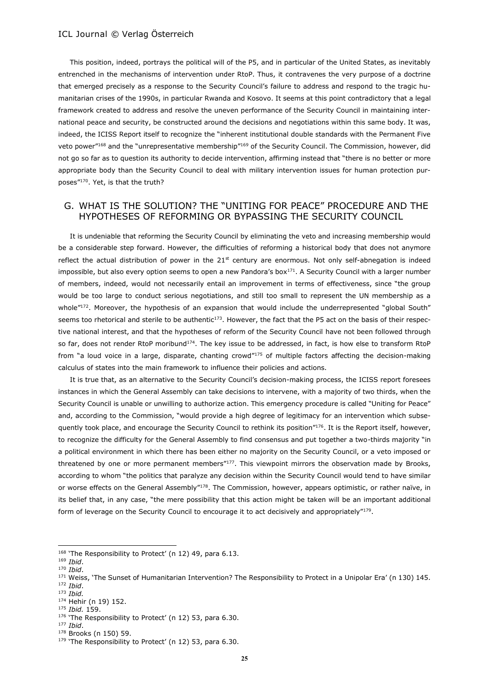This position, indeed, portrays the political will of the P5, and in particular of the United States, as inevitably entrenched in the mechanisms of intervention under RtoP. Thus, it contravenes the very purpose of a doctrine that emerged precisely as a response to the Security Council's failure to address and respond to the tragic humanitarian crises of the 1990s, in particular Rwanda and Kosovo. It seems at this point contradictory that a legal framework created to address and resolve the uneven performance of the Security Council in maintaining international peace and security, be constructed around the decisions and negotiations within this same body. It was, indeed, the ICISS Report itself to recognize the "inherent institutional double standards with the Permanent Five veto power"<sup>168</sup> and the "unrepresentative membership"<sup>169</sup> of the Security Council. The Commission, however, did not go so far as to question its authority to decide intervention, affirming instead that "there is no better or more appropriate body than the Security Council to deal with military intervention issues for human protection purposes"<sup>170</sup>. Yet, is that the truth?

## G. WHAT IS THE SOLUTION? THE "UNITING FOR PEACE" PROCEDURE AND THE HYPOTHESES OF REFORMING OR BYPASSING THE SECURITY COUNCIL

It is undeniable that reforming the Security Council by eliminating the veto and increasing membership would be a considerable step forward. However, the difficulties of reforming a historical body that does not anymore reflect the actual distribution of power in the  $21<sup>st</sup>$  century are enormous. Not only self-abnegation is indeed impossible, but also every option seems to open a new Pandora's box $^{171}$ . A Security Council with a larger number of members, indeed, would not necessarily entail an improvement in terms of effectiveness, since "the group would be too large to conduct serious negotiations, and still too small to represent the UN membership as a whole"<sup>172</sup>. Moreover, the hypothesis of an expansion that would include the underrepresented "global South" seems too rhetorical and sterile to be authentic<sup>173</sup>. However, the fact that the P5 act on the basis of their respective national interest, and that the hypotheses of reform of the Security Council have not been followed through so far, does not render RtoP moribund<sup>174</sup>. The key issue to be addressed, in fact, is how else to transform RtoP from "a loud voice in a large, disparate, chanting crowd" $175$  of multiple factors affecting the decision-making calculus of states into the main framework to influence their policies and actions.

It is true that, as an alternative to the Security Council's decision-making process, the ICISS report foresees instances in which the General Assembly can take decisions to intervene, with a majority of two thirds, when the Security Council is unable or unwilling to authorize action. This emergency procedure is called "Uniting for Peace" and, according to the Commission, "would provide a high degree of legitimacy for an intervention which subsequently took place, and encourage the Security Council to rethink its position"<sup>176</sup>. It is the Report itself, however, to recognize the difficulty for the General Assembly to find consensus and put together a two-thirds majority "in a political environment in which there has been either no majority on the Security Council, or a veto imposed or threatened by one or more permanent members"<sup>177</sup>. This viewpoint mirrors the observation made by Brooks, according to whom "the politics that paralyze any decision within the Security Council would tend to have similar or worse effects on the General Assembly"<sup>178</sup>. The Commission, however, appears optimistic, or rather naïve, in its belief that, in any case, "the mere possibility that this action might be taken will be an important additional form of leverage on the Security Council to encourage it to act decisively and appropriately" $179$ .

 $\overline{\phantom{a}}$ 

<sup>175</sup> *Ibid.* 159.

<sup>168 &#</sup>x27;The Responsibility to Protect' (n 12) 49, para 6.13.

<sup>169</sup> *Ibid*.

<sup>170</sup> *Ibid*.

<sup>171</sup> Weiss, 'The Sunset of Humanitarian Intervention? The Responsibility to Protect in a Unipolar Era' (n 130) 145.

<sup>172</sup> *Ibid*. <sup>173</sup> *Ibid.*

<sup>174</sup> Hehir (n 19) 152.

<sup>176 &#</sup>x27;The Responsibility to Protect' (n 12) 53, para 6.30.

<sup>177</sup> *Ibid*.

<sup>178</sup> Brooks (n 150) 59.

<sup>&</sup>lt;sup>179</sup> 'The Responsibility to Protect' (n 12) 53, para 6.30.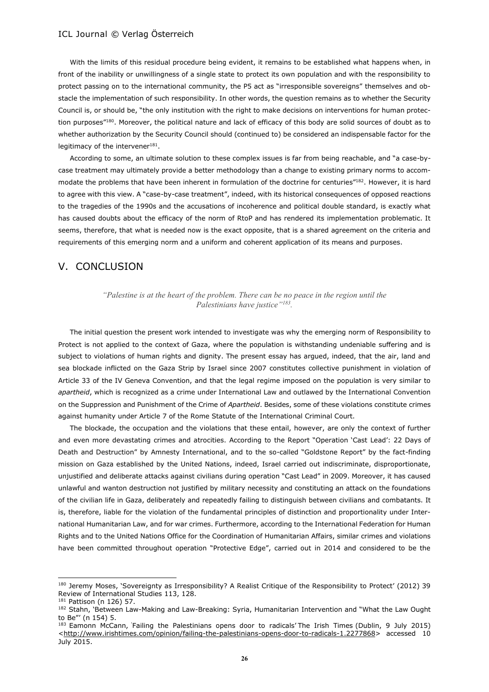With the limits of this residual procedure being evident, it remains to be established what happens when, in front of the inability or unwillingness of a single state to protect its own population and with the responsibility to protect passing on to the international community, the P5 act as "irresponsible sovereigns" themselves and obstacle the implementation of such responsibility. In other words, the question remains as to whether the Security Council is, or should be, "the only institution with the right to make decisions on interventions for human protection purposes"<sup>180</sup>. Moreover, the political nature and lack of efficacy of this body are solid sources of doubt as to whether authorization by the Security Council should (continued to) be considered an indispensable factor for the legitimacy of the intervener $^{181}$ .

According to some, an ultimate solution to these complex issues is far from being reachable, and "a case-bycase treatment may ultimately provide a better methodology than a change to existing primary norms to accommodate the problems that have been inherent in formulation of the doctrine for centuries"<sup>182</sup>. However, it is hard to agree with this view. A "case-by-case treatment", indeed, with its historical consequences of opposed reactions to the tragedies of the 1990s and the accusations of incoherence and political double standard, is exactly what has caused doubts about the efficacy of the norm of RtoP and has rendered its implementation problematic. It seems, therefore, that what is needed now is the exact opposite, that is a shared agreement on the criteria and requirements of this emerging norm and a uniform and coherent application of its means and purposes.

## V. CONCLUSION

#### *"Palestine is at the heart of the problem. There can be no peace in the region until the Palestinians have justice"<sup>183</sup> .*

The initial question the present work intended to investigate was why the emerging norm of Responsibility to Protect is not applied to the context of Gaza, where the population is withstanding undeniable suffering and is subject to violations of human rights and dignity. The present essay has argued, indeed, that the air, land and sea blockade inflicted on the Gaza Strip by Israel since 2007 constitutes collective punishment in violation of Article 33 of the IV Geneva Convention, and that the legal regime imposed on the population is very similar to *apartheid*, which is recognized as a crime under International Law and outlawed by the International Convention on the Suppression and Punishment of the Crime of *Apartheid*. Besides, some of these violations constitute crimes against humanity under Article 7 of the Rome Statute of the International Criminal Court.

The blockade, the occupation and the violations that these entail, however, are only the context of further and even more devastating crimes and atrocities. According to the Report "Operation 'Cast Lead': 22 Days of Death and Destruction" by Amnesty International, and to the so-called "Goldstone Report" by the fact-finding mission on Gaza established by the United Nations, indeed, Israel carried out indiscriminate, disproportionate, unjustified and deliberate attacks against civilians during operation "Cast Lead" in 2009. Moreover, it has caused unlawful and wanton destruction not justified by military necessity and constituting an attack on the foundations of the civilian life in Gaza, deliberately and repeatedly failing to distinguish between civilians and combatants. It is, therefore, liable for the violation of the fundamental principles of distinction and proportionality under International Humanitarian Law, and for war crimes. Furthermore, according to the International Federation for Human Rights and to the United Nations Office for the Coordination of Humanitarian Affairs, similar crimes and violations have been committed throughout operation "Protective Edge", carried out in 2014 and considered to be the

<sup>180</sup> Jeremy Moses, 'Sovereignty as Irresponsibility? A Realist Critique of the Responsibility to Protect' (2012) 39 Review of International Studies 113, 128.

<sup>181</sup> Pattison (n 126) 57.

<sup>182</sup> Stahn, 'Between Law-Making and Law-Breaking: Syria, Humanitarian Intervention and "What the Law Ought to Be"' (n 154) 5.

<sup>183</sup> Eamonn McCann, 'Failing the Palestinians opens door to radicals' The Irish Times (Dublin, 9 July 2015) [<http://www.irishtimes.com/opinion/failing-the-palestinians-opens-door-to-radicals-1.2277868>](http://www.irishtimes.com/opinion/failing-the-palestinians-opens-door-to-radicals-1.2277868) accessed 10 July 2015.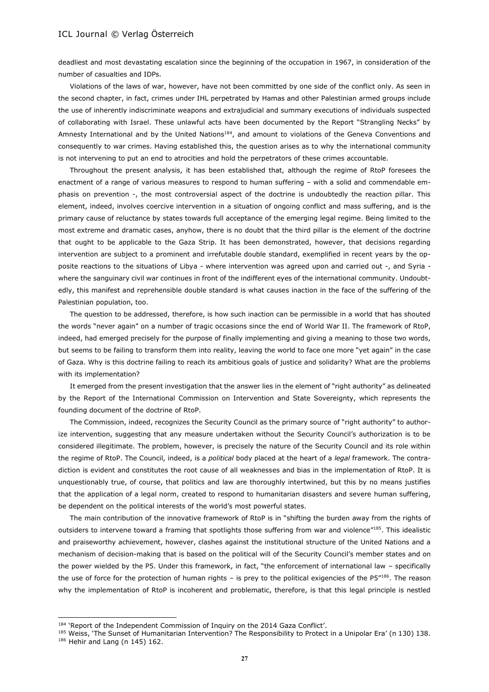deadliest and most devastating escalation since the beginning of the occupation in 1967, in consideration of the number of casualties and IDPs.

Violations of the laws of war, however, have not been committed by one side of the conflict only. As seen in the second chapter, in fact, crimes under IHL perpetrated by Hamas and other Palestinian armed groups include the use of inherently indiscriminate weapons and extrajudicial and summary executions of individuals suspected of collaborating with Israel. These unlawful acts have been documented by the Report "Strangling Necks" by Amnesty International and by the United Nations<sup>184</sup>, and amount to violations of the Geneva Conventions and consequently to war crimes. Having established this, the question arises as to why the international community is not intervening to put an end to atrocities and hold the perpetrators of these crimes accountable.

Throughout the present analysis, it has been established that, although the regime of RtoP foresees the enactment of a range of various measures to respond to human suffering – with a solid and commendable emphasis on prevention -, the most controversial aspect of the doctrine is undoubtedly the reaction pillar. This element, indeed, involves coercive intervention in a situation of ongoing conflict and mass suffering, and is the primary cause of reluctance by states towards full acceptance of the emerging legal regime. Being limited to the most extreme and dramatic cases, anyhow, there is no doubt that the third pillar is the element of the doctrine that ought to be applicable to the Gaza Strip. It has been demonstrated, however, that decisions regarding intervention are subject to a prominent and irrefutable double standard, exemplified in recent years by the opposite reactions to the situations of Libya - where intervention was agreed upon and carried out -, and Syria where the sanguinary civil war continues in front of the indifferent eyes of the international community. Undoubtedly, this manifest and reprehensible double standard is what causes inaction in the face of the suffering of the Palestinian population, too.

The question to be addressed, therefore, is how such inaction can be permissible in a world that has shouted the words "never again" on a number of tragic occasions since the end of World War II. The framework of RtoP, indeed, had emerged precisely for the purpose of finally implementing and giving a meaning to those two words, but seems to be failing to transform them into reality, leaving the world to face one more "yet again" in the case of Gaza. Why is this doctrine failing to reach its ambitious goals of justice and solidarity? What are the problems with its implementation?

It emerged from the present investigation that the answer lies in the element of "right authority" as delineated by the Report of the International Commission on Intervention and State Sovereignty, which represents the founding document of the doctrine of RtoP.

The Commission, indeed, recognizes the Security Council as the primary source of "right authority" to authorize intervention, suggesting that any measure undertaken without the Security Council's authorization is to be considered illegitimate. The problem, however, is precisely the nature of the Security Council and its role within the regime of RtoP. The Council, indeed, is a *political* body placed at the heart of a *legal* framework. The contradiction is evident and constitutes the root cause of all weaknesses and bias in the implementation of RtoP. It is unquestionably true, of course, that politics and law are thoroughly intertwined, but this by no means justifies that the application of a legal norm, created to respond to humanitarian disasters and severe human suffering, be dependent on the political interests of the world's most powerful states.

The main contribution of the innovative framework of RtoP is in "shifting the burden away from the rights of outsiders to intervene toward a framing that spotlights those suffering from war and violence"185. This idealistic and praiseworthy achievement, however, clashes against the institutional structure of the United Nations and a mechanism of decision-making that is based on the political will of the Security Council's member states and on the power wielded by the P5. Under this framework, in fact, "the enforcement of international law – specifically the use of force for the protection of human rights – is prey to the political exigencies of the  $PS''^{186}$ . The reason why the implementation of RtoP is incoherent and problematic, therefore, is that this legal principle is nestled

l

<sup>&</sup>lt;sup>184</sup> 'Report of the Independent Commission of Inquiry on the 2014 Gaza Conflict'.

<sup>185</sup> Weiss, 'The Sunset of Humanitarian Intervention? The Responsibility to Protect in a Unipolar Era' (n 130) 138.  $186$  Hehir and Lang (n 145) 162.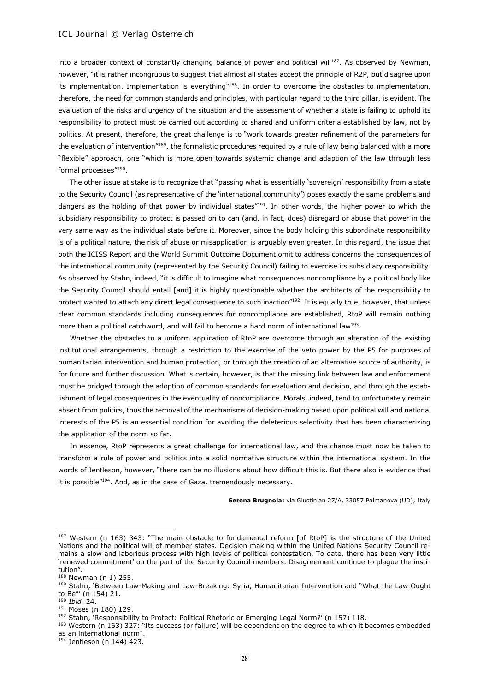into a broader context of constantly changing balance of power and political will<sup>187</sup>. As observed by Newman, however, "it is rather incongruous to suggest that almost all states accept the principle of R2P, but disagree upon its implementation. Implementation is everything"188. In order to overcome the obstacles to implementation, therefore, the need for common standards and principles, with particular regard to the third pillar, is evident. The evaluation of the risks and urgency of the situation and the assessment of whether a state is failing to uphold its responsibility to protect must be carried out according to shared and uniform criteria established by law, not by politics. At present, therefore, the great challenge is to "work towards greater refinement of the parameters for the evaluation of intervention"189, the formalistic procedures required by a rule of law being balanced with a more "flexible" approach, one "which is more open towards systemic change and adaption of the law through less formal processes"<sup>190</sup>.

The other issue at stake is to recognize that "passing what is essentially 'sovereign' responsibility from a state to the Security Council (as representative of the 'international community') poses exactly the same problems and dangers as the holding of that power by individual states"191. In other words, the higher power to which the subsidiary responsibility to protect is passed on to can (and, in fact, does) disregard or abuse that power in the very same way as the individual state before it. Moreover, since the body holding this subordinate responsibility is of a political nature, the risk of abuse or misapplication is arguably even greater. In this regard, the issue that both the ICISS Report and the World Summit Outcome Document omit to address concerns the consequences of the international community (represented by the Security Council) failing to exercise its subsidiary responsibility. As observed by Stahn, indeed, "it is difficult to imagine what consequences noncompliance by a political body like the Security Council should entail [and] it is highly questionable whether the architects of the responsibility to protect wanted to attach any direct legal consequence to such inaction"<sup>192</sup>. It is equally true, however, that unless clear common standards including consequences for noncompliance are established, RtoP will remain nothing more than a political catchword, and will fail to become a hard norm of international law<sup>193</sup>.

Whether the obstacles to a uniform application of RtoP are overcome through an alteration of the existing institutional arrangements, through a restriction to the exercise of the veto power by the P5 for purposes of humanitarian intervention and human protection, or through the creation of an alternative source of authority, is for future and further discussion. What is certain, however, is that the missing link between law and enforcement must be bridged through the adoption of common standards for evaluation and decision, and through the establishment of legal consequences in the eventuality of noncompliance. Morals, indeed, tend to unfortunately remain absent from politics, thus the removal of the mechanisms of decision-making based upon political will and national interests of the P5 is an essential condition for avoiding the deleterious selectivity that has been characterizing the application of the norm so far.

In essence, RtoP represents a great challenge for international law, and the chance must now be taken to transform a rule of power and politics into a solid normative structure within the international system. In the words of Jentleson, however, "there can be no illusions about how difficult this is. But there also is evidence that it is possible"<sup>194</sup>. And, as in the case of Gaza, tremendously necessary.

**Serena Brugnola:** via Giustinian 27/A, 33057 Palmanova (UD), Italy

<sup>187</sup> Western (n 163) 343: "The main obstacle to fundamental reform [of RtoP] is the structure of the United Nations and the political will of member states. Decision making within the United Nations Security Council remains a slow and laborious process with high levels of political contestation. To date, there has been very little 'renewed commitment' on the part of the Security Council members. Disagreement continue to plague the institution".

<sup>188</sup> Newman (n 1) 255.

<sup>189</sup> Stahn, 'Between Law-Making and Law-Breaking: Syria, Humanitarian Intervention and "What the Law Ought to Be"' (n 154) 21.

<sup>190</sup> *Ibid.* 24.

<sup>191</sup> Moses (n 180) 129.

<sup>192</sup> Stahn, 'Responsibility to Protect: Political Rhetoric or Emerging Legal Norm?' (n 157) 118.

<sup>&</sup>lt;sup>193</sup> Western (n 163) 327: "Its success (or failure) will be dependent on the degree to which it becomes embedded as an international norm".

<sup>194</sup> Jentleson (n 144) 423.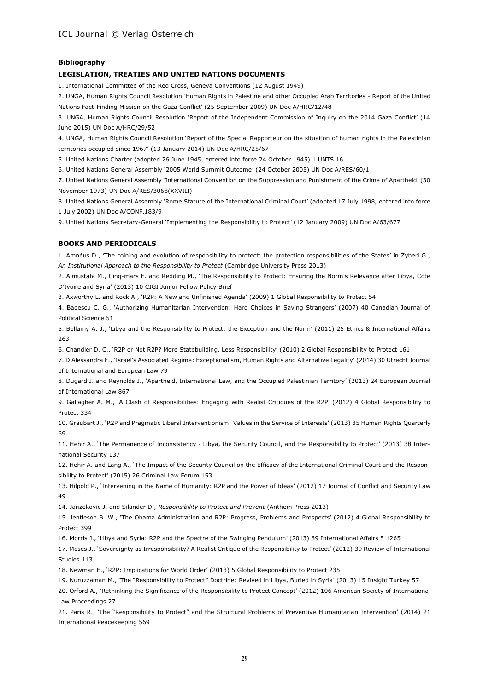#### **Bibliography**

#### **LEGISLATION, TREATIES AND UNITED NATIONS DOCUMENTS**

1. International Committee of the Red Cross, Geneva Conventions (12 August 1949)

2. UNGA, Human Rights Council Resolution 'Human Rights in Palestine and other Occupied Arab Territories - Report of the United Nations Fact-Finding Mission on the Gaza Conflict' (25 September 2009) UN Doc A/HRC/12/48

3. UNGA, Human Rights Council Resolution 'Report of the Independent Commission of Inquiry on the 2014 Gaza Conflict' (14 June 2015) UN Doc A/HRC/29/52

4. UNGA, Human Rights Council Resolution 'Report of the Special Rapporteur on the situation of human rights in the Palestinian territories occupied since 1967' (13 January 2014) UN Doc A/HRC/25/67

5. United Nations Charter (adopted 26 June 1945, entered into force 24 October 1945) 1 UNTS 16

6. United Nations General Assembly '2005 World Summit Outcome' (24 October 2005) UN Doc A/RES/60/1

7. United Nations General Assembly 'International Convention on the Suppression and Punishment of the Crime of Apartheid' (30 November 1973) UN Doc A/RES/3068(XXVIII)

8. United Nations General Assembly 'Rome Statute of the International Criminal Court' (adopted 17 July 1998, entered into force 1 July 2002) UN Doc A/CONF.183/9

9. United Nations Secretary-General 'Implementing the Responsibility to Protect' (12 January 2009) UN Doc A/63/677

#### **BOOKS AND PERIODICALS**

1. Amnéus D., 'The coining and evolution of responsibility to protect: the protection responsibilities of the States' in Zyberi G., *An Institutional Approach to the Responsibility to Protect* (Cambridge University Press 2013)

2. Almustafa M., Cinq-mars E. and Redding M., 'The Responsibility to Protect: Ensuring the Norm's Relevance after Libya, Côte D'Ivoire and Syria' (2013) 10 CIGI Junior Fellow Policy Brief

3. Axworthy L. and Rock A., 'R2P: A New and Unfinished Agenda' (2009) 1 Global Responsibility to Protect 54

4. Badescu C. G., 'Authorizing Humanitarian Intervention: Hard Choices in Saving Strangers' (2007) 40 Canadian Journal of Political Science 51

5. Bellamy A. J., 'Libya and the Responsibility to Protect: the Exception and the Norm' (2011) 25 Ethics & International Affairs 263

6. Chandler D. C., 'R2P or Not R2P? More Statebuilding, Less Responsibility' (2010) 2 Global Responsibility to Protect 161

7. D'Alessandra F., 'Israel's Associated Regime: Exceptionalism, Human Rights and Alternative Legality' (2014) 30 Utrecht Journal of International and European Law 79

8. Dugard J. and Reynolds J., 'Apartheid, International Law, and the Occupied Palestinian Territory' (2013) 24 European Journal of International Law 867

9. Gallagher A. M., 'A Clash of Responsibilities: Engaging with Realist Critiques of the R2P' (2012) 4 Global Responsibility to Protect 334

10. Graubart J., 'R2P and Pragmatic Liberal Interventionism: Values in the Service of Interests' (2013) 35 Human Rights Quarterly 69

11. Hehir A., 'The Permanence of Inconsistency - Libya, the Security Council, and the Responsibility to Protect' (2013) 38 International Security 137

12. Hehir A. and Lang A., 'The Impact of the Security Council on the Efficacy of the International Criminal Court and the Responsibility to Protect' (2015) 26 Criminal Law Forum 153

13. Hilpold P., 'Intervening in the Name of Humanity: R2P and the Power of Ideas' (2012) 17 Journal of Conflict and Security Law 49

14. Janzekovic J. and Silander D., *Responsibility to Protect and Prevent* (Anthem Press 2013)

15. Jentleson B. W., 'The Obama Administration and R2P: Progress, Problems and Prospects' (2012) 4 Global Responsibility to Protect 399

16. Morris J., 'Libya and Syria: R2P and the Spectre of the Swinging Pendulum' (2013) 89 International Affairs 5 1265

17. Moses J., 'Sovereignty as Irresponsibility? A Realist Critique of the Responsibility to Protect' (2012) 39 Review of International Studies 113

18. Newman E., 'R2P: Implications for World Order' (2013) 5 Global Responsibility to Protect 235

19. Nuruzzaman M., 'The "Responsibility to Protect" Doctrine: Revived in Libya, Buried in Syria' (2013) 15 Insight Turkey 57

20. Orford A., 'Rethinking the Significance of the Responsibility to Protect Concept' (2012) 106 American Society of International Law Proceedings 27

21. Paris R., 'The "Responsibility to Protect" and the Structural Problems of Preventive Humanitarian Intervention' (2014) 21 International Peacekeeping 569